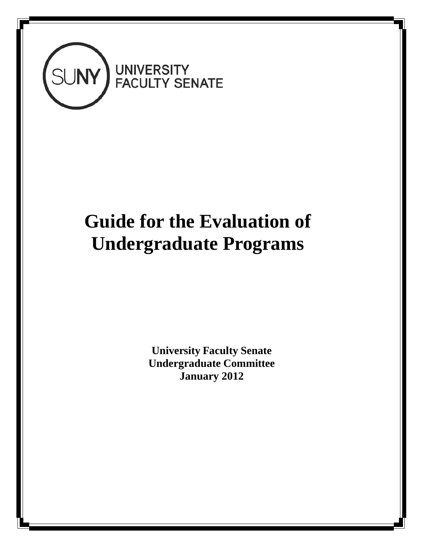

# **Guide for the Evaluation of Undergraduate Programs**

**University Faculty Senate Undergraduate Committee January 2012**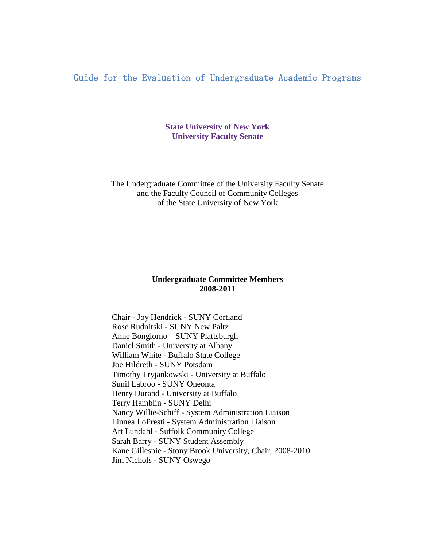# Guide for the Evaluation of Undergraduate Academic Programs

**State University of New York University Faculty Senate**

The Undergraduate Committee of the University Faculty Senate and the Faculty Council of Community Colleges of the State University of New York

## **Undergraduate Committee Members 2008-2011**

Chair - Joy Hendrick - SUNY Cortland Rose Rudnitski - SUNY New Paltz Anne Bongiorno – SUNY Plattsburgh Daniel Smith - University at Albany William White - Buffalo State College Joe Hildreth - SUNY Potsdam Timothy Tryjankowski - University at Buffalo Sunil Labroo - SUNY Oneonta Henry Durand - University at Buffalo Terry Hamblin - SUNY Delhi Nancy Willie-Schiff - System Administration Liaison Linnea LoPresti - System Administration Liaison Art Lundahl - Suffolk Community College Sarah Barry - SUNY Student Assembly Kane Gillespie - Stony Brook University, Chair, 2008-2010 Jim Nichols - SUNY Oswego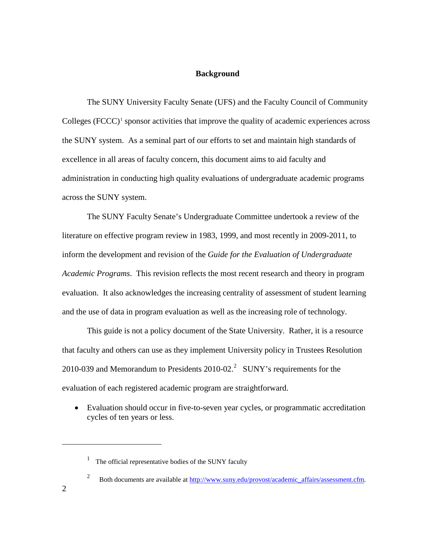#### **Background**

<span id="page-2-2"></span>The SUNY University Faculty Senate (UFS) and the Faculty Council of Community Colleges  $(FCCC)^1$  $(FCCC)^1$  sponsor activities that improve the quality of academic experiences across the SUNY system. As a seminal part of our efforts to set and maintain high standards of excellence in all areas of faculty concern, this document aims to aid faculty and administration in conducting high quality evaluations of undergraduate academic programs across the SUNY system.

The SUNY Faculty Senate's Undergraduate Committee undertook a review of the literature on effective program review in 1983, 1999, and most recently in 2009-2011, to inform the development and revision of the *Guide for the Evaluation of Undergraduate Academic Programs*. This revision reflects the most recent research and theory in program evaluation. It also acknowledges the increasing centrality of assessment of student learning and the use of data in program evaluation as well as the increasing role of technology.

This guide is not a policy document of the State University. Rather, it is a resource that faculty and others can use as they implement University policy in Trustees Resolution [2](#page-2-1)010-039 and Memorandum to Presidents  $2010-02$ .<sup>2</sup> SUNY's requirements for the evaluation of each registered academic program are straightforward.

• Evaluation should occur in five-to-seven year cycles, or programmatic accreditation cycles of ten years or less.

<span id="page-2-1"></span><span id="page-2-0"></span> $\overline{a}$ 

 $1$  The official representative bodies of the SUNY faculty

<sup>&</sup>lt;sup>2</sup> Both documents are available at http://www.suny.edu/provost/academic\_affairs/assessment.cfm.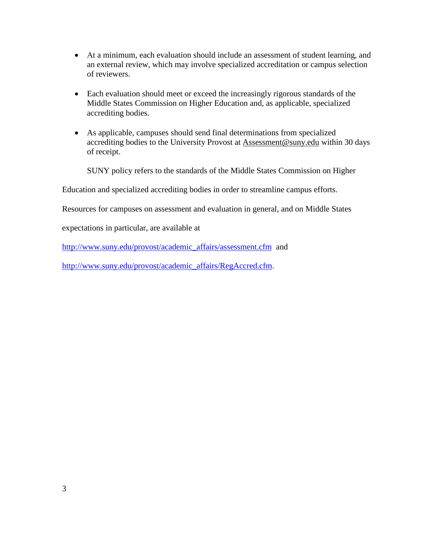- At a minimum, each evaluation should include an assessment of student learning, and an external review, which may involve specialized accreditation or campus selection of reviewers.
- Each evaluation should meet or exceed the increasingly rigorous standards of the Middle States Commission on Higher Education and, as applicable, specialized accrediting bodies.
- As applicable, campuses should send final determinations from specialized accrediting bodies to the University Provost at [Assessment@suny.edu](mailto:Assessment@suny.edu) within 30 days of receipt.

SUNY policy refers to the standards of the Middle States Commission on Higher

Education and specialized accrediting bodies in order to streamline campus efforts.

Resources for campuses on assessment and evaluation in general, and on Middle States

expectations in particular, are available at

[http://www.suny.edu/provost/academic\\_affairs/assessment.cfm](http://www.suny.edu/provost/academic_affairs/assessment.cfm) and

[http://www.suny.edu/provost/academic\\_affairs/RegAccred.cfm.](http://www.suny.edu/provost/academic_affairs/RegAccred.cfm)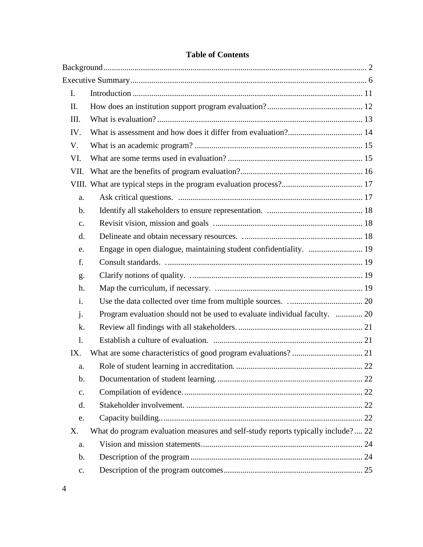| Engage in open dialogue, maintaining student confidentiality.  19                |  |
|----------------------------------------------------------------------------------|--|
|                                                                                  |  |
|                                                                                  |  |
|                                                                                  |  |
|                                                                                  |  |
| Program evaluation should not be used to evaluate individual faculty.  20        |  |
|                                                                                  |  |
|                                                                                  |  |
|                                                                                  |  |
|                                                                                  |  |
|                                                                                  |  |
|                                                                                  |  |
|                                                                                  |  |
|                                                                                  |  |
| What do program evaluation measures and self-study reports typically include? 22 |  |
|                                                                                  |  |
|                                                                                  |  |
|                                                                                  |  |
|                                                                                  |  |

# **Table of Contents**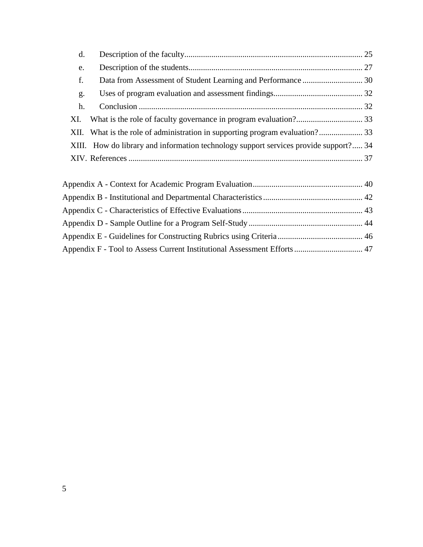| d. |                                                                                      |  |
|----|--------------------------------------------------------------------------------------|--|
| e. |                                                                                      |  |
| f. |                                                                                      |  |
| g. |                                                                                      |  |
| h. |                                                                                      |  |
|    |                                                                                      |  |
|    | XII. What is the role of administration in supporting program evaluation? 33         |  |
|    | XIII. How do library and information technology support services provide support? 34 |  |
|    |                                                                                      |  |
|    |                                                                                      |  |

| Appendix F - Tool to Assess Current Institutional Assessment Efforts 47 |  |
|-------------------------------------------------------------------------|--|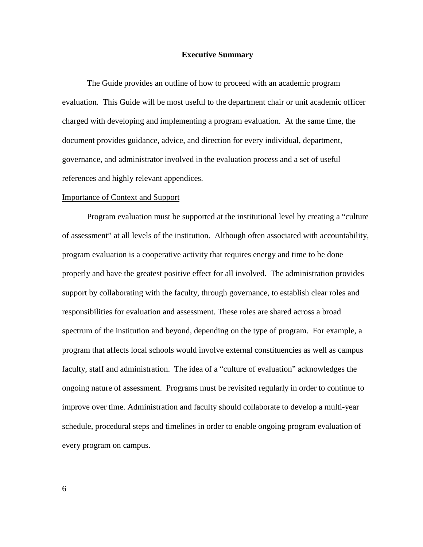#### **Executive Summary**

<span id="page-6-0"></span>The Guide provides an outline of how to proceed with an academic program evaluation. This Guide will be most useful to the department chair or unit academic officer charged with developing and implementing a program evaluation. At the same time, the document provides guidance, advice, and direction for every individual, department, governance, and administrator involved in the evaluation process and a set of useful references and highly relevant appendices.

#### Importance of Context and Support

Program evaluation must be supported at the institutional level by creating a "culture of assessment" at all levels of the institution. Although often associated with accountability, program evaluation is a cooperative activity that requires energy and time to be done properly and have the greatest positive effect for all involved. The administration provides support by collaborating with the faculty, through governance, to establish clear roles and responsibilities for evaluation and assessment. These roles are shared across a broad spectrum of the institution and beyond, depending on the type of program. For example, a program that affects local schools would involve external constituencies as well as campus faculty, staff and administration. The idea of a "culture of evaluation" acknowledges the ongoing nature of assessment. Programs must be revisited regularly in order to continue to improve over time. Administration and faculty should collaborate to develop a multi-year schedule, procedural steps and timelines in order to enable ongoing program evaluation of every program on campus.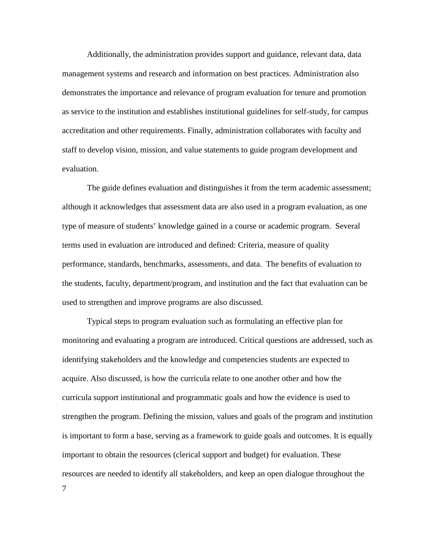Additionally, the administration provides support and guidance, relevant data, data management systems and research and information on best practices. Administration also demonstrates the importance and relevance of program evaluation for tenure and promotion as service to the institution and establishes institutional guidelines for self-study, for campus accreditation and other requirements. Finally, administration collaborates with faculty and staff to develop vision, mission, and value statements to guide program development and evaluation.

The guide defines evaluation and distinguishes it from the term academic assessment; although it acknowledges that assessment data are also used in a program evaluation, as one type of measure of students' knowledge gained in a course or academic program. Several terms used in evaluation are introduced and defined: Criteria, measure of quality performance, standards, benchmarks, assessments, and data. The benefits of evaluation to the students, faculty, department/program, and institution and the fact that evaluation can be used to strengthen and improve programs are also discussed.

Typical steps to program evaluation such as formulating an effective plan for monitoring and evaluating a program are introduced. Critical questions are addressed, such as identifying stakeholders and the knowledge and competencies students are expected to acquire. Also discussed, is how the curricula relate to one another other and how the curricula support institutional and programmatic goals and how the evidence is used to strengthen the program. Defining the mission, values and goals of the program and institution is important to form a base, serving as a framework to guide goals and outcomes. It is equally important to obtain the resources (clerical support and budget) for evaluation. These resources are needed to identify all stakeholders, and keep an open dialogue throughout the

7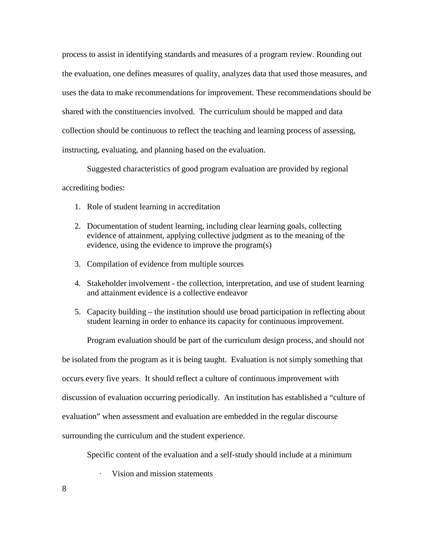process to assist in identifying standards and measures of a program review. Rounding out the evaluation, one defines measures of quality, analyzes data that used those measures, and uses the data to make recommendations for improvement. These recommendations should be shared with the constituencies involved. The curriculum should be mapped and data collection should be continuous to reflect the teaching and learning process of assessing, instructing, evaluating, and planning based on the evaluation.

Suggested characteristics of good program evaluation are provided by regional

accrediting bodies:

- 1. Role of student learning in accreditation
- 2. Documentation of student learning, including clear learning goals, collecting evidence of attainment, applying collective judgment as to the meaning of the evidence, using the evidence to improve the program(s)
- 3. Compilation of evidence from multiple sources
- 4. Stakeholder involvement the collection, interpretation, and use of student learning and attainment evidence is a collective endeavor
- 5. Capacity building the institution should use broad participation in reflecting about student learning in order to enhance its capacity for continuous improvement.

Program evaluation should be part of the curriculum design process, and should not

be isolated from the program as it is being taught. Evaluation is not simply something that occurs every five years. It should reflect a culture of continuous improvement with discussion of evaluation occurring periodically. An institution has established a "culture of

evaluation" when assessment and evaluation are embedded in the regular discourse

surrounding the curriculum and the student experience.

Specific content of the evaluation and a self-study should include at a minimum

Vision and mission statements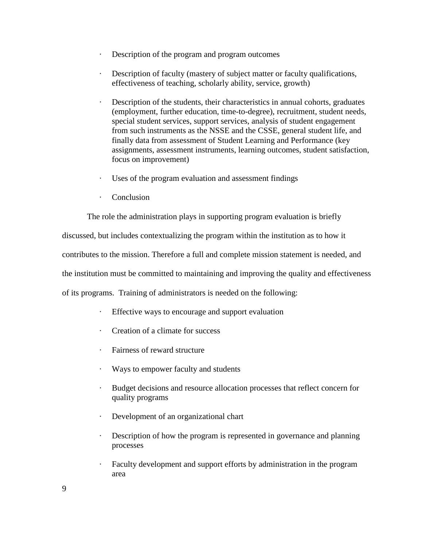- · Description of the program and program outcomes
- Description of faculty (mastery of subject matter or faculty qualifications, effectiveness of teaching, scholarly ability, service, growth)
- Description of the students, their characteristics in annual cohorts, graduates (employment, further education, time-to-degree), recruitment, student needs, special student services, support services, analysis of student engagement from such instruments as the NSSE and the CSSE, general student life, and finally data from assessment of Student Learning and Performance (key assignments, assessment instruments, learning outcomes, student satisfaction, focus on improvement)
- Uses of the program evaluation and assessment findings
- · Conclusion

The role the administration plays in supporting program evaluation is briefly

discussed, but includes contextualizing the program within the institution as to how it

contributes to the mission. Therefore a full and complete mission statement is needed, and

the institution must be committed to maintaining and improving the quality and effectiveness

of its programs. Training of administrators is needed on the following:

- · Effective ways to encourage and support evaluation
- · Creation of a climate for success
- Fairness of reward structure
- · Ways to empower faculty and students
- · Budget decisions and resource allocation processes that reflect concern for quality programs
- · Development of an organizational chart
- · Description of how the program is represented in governance and planning processes
- · Faculty development and support efforts by administration in the program area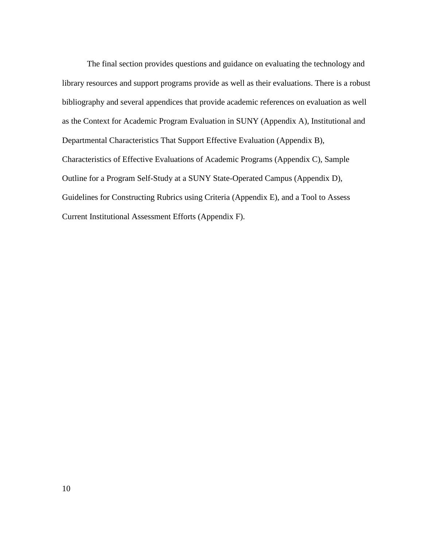The final section provides questions and guidance on evaluating the technology and library resources and support programs provide as well as their evaluations. There is a robust bibliography and several appendices that provide academic references on evaluation as well as the Context for Academic Program Evaluation in SUNY (Appendix A), Institutional and Departmental Characteristics That Support Effective Evaluation (Appendix B), Characteristics of Effective Evaluations of Academic Programs (Appendix C), Sample Outline for a Program Self-Study at a SUNY State-Operated Campus (Appendix D), Guidelines for Constructing Rubrics using Criteria (Appendix E), and a Tool to Assess Current Institutional Assessment Efforts (Appendix F).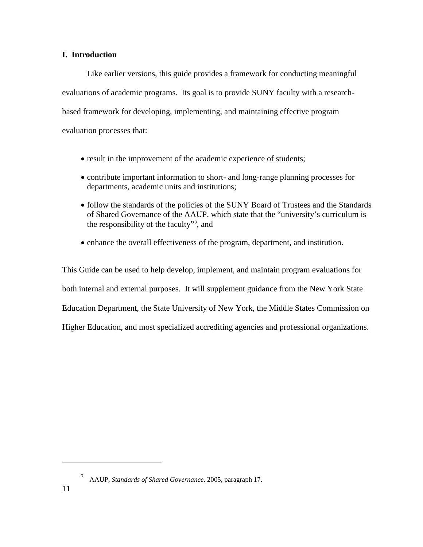## <span id="page-11-0"></span>**I. Introduction**

Like earlier versions, this guide provides a framework for conducting meaningful evaluations of academic programs. Its goal is to provide SUNY faculty with a researchbased framework for developing, implementing, and maintaining effective program evaluation processes that:

- result in the improvement of the academic experience of students;
- contribute important information to short- and long-range planning processes for departments, academic units and institutions;
- follow the standards of the policies of the SUNY Board of Trustees and the Standards of Shared Governance of the AAUP, which state that the "university's curriculum is the responsibility of the faculty"[3](#page-11-1) , and
- enhance the overall effectiveness of the program, department, and institution.

This Guide can be used to help develop, implement, and maintain program evaluations for both internal and external purposes. It will supplement guidance from the New York State Education Department, the State University of New York, the Middle States Commission on Higher Education, and most specialized accrediting agencies and professional organizations.

<span id="page-11-1"></span> $\overline{a}$ 

<sup>3</sup> AAUP, *Standards of Shared Governance*. 2005, paragraph 17.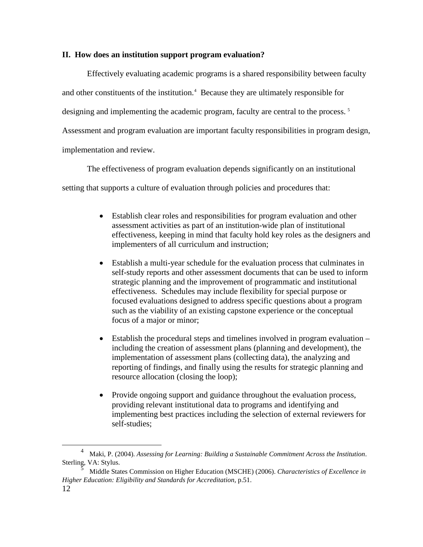#### <span id="page-12-0"></span>**II. How does an institution support program evaluation?**

Effectively evaluating academic programs is a shared responsibility between faculty and other constituents of the institution.<sup>[4](#page-12-1)</sup> Because they are ultimately responsible for designing and implementing the academic program, faculty are central to the process.<sup>[5](#page-12-2)</sup> Assessment and program evaluation are important faculty responsibilities in program design, implementation and review.

The effectiveness of program evaluation depends significantly on an institutional

setting that supports a culture of evaluation through policies and procedures that:

- Establish clear roles and responsibilities for program evaluation and other assessment activities as part of an institution-wide plan of institutional effectiveness, keeping in mind that faculty hold key roles as the designers and implementers of all curriculum and instruction;
- Establish a multi-year schedule for the evaluation process that culminates in self-study reports and other assessment documents that can be used to inform strategic planning and the improvement of programmatic and institutional effectiveness. Schedules may include flexibility for special purpose or focused evaluations designed to address specific questions about a program such as the viability of an existing capstone experience or the conceptual focus of a major or minor;
- Establish the procedural steps and timelines involved in program evaluation including the creation of assessment plans (planning and development), the implementation of assessment plans (collecting data), the analyzing and reporting of findings, and finally using the results for strategic planning and resource allocation (closing the loop);
- Provide ongoing support and guidance throughout the evaluation process, providing relevant institutional data to programs and identifying and implementing best practices including the selection of external reviewers for self-studies;

<span id="page-12-1"></span> <sup>4</sup> Maki, P. (2004). *Assessing for Learning: Building a Sustainable Commitment Across the Institution*. Sterling, VA: Stylus.

<span id="page-12-2"></span><sup>12</sup> <sup>5</sup> Middle States Commission on Higher Education (MSCHE) (2006). *Characteristics of Excellence in Higher Education: Eligibility and Standards for Accreditation*, p.51.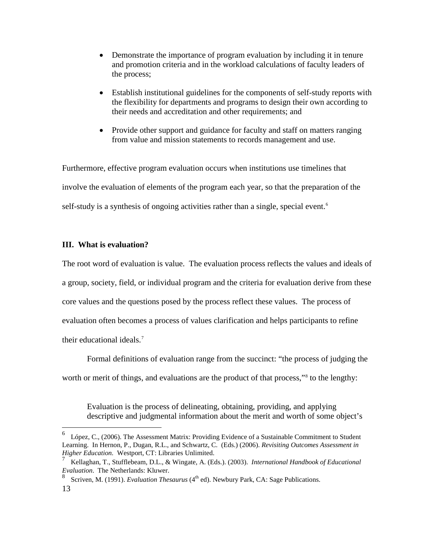- Demonstrate the importance of program evaluation by including it in tenure and promotion criteria and in the workload calculations of faculty leaders of the process;
- Establish institutional guidelines for the components of self-study reports with the flexibility for departments and programs to design their own according to their needs and accreditation and other requirements; and
- Provide other support and guidance for faculty and staff on matters ranging from value and mission statements to records management and use.

Furthermore, effective program evaluation occurs when institutions use timelines that involve the evaluation of elements of the program each year, so that the preparation of the self-study is a synthesis of ongoing activities rather than a single, special event.<sup>[6](#page-13-1)</sup>

## <span id="page-13-0"></span>**III. What is evaluation?**

The root word of evaluation is value. The evaluation process reflects the values and ideals of a group, society, field, or individual program and the criteria for evaluation derive from these core values and the questions posed by the process reflect these values. The process of evaluation often becomes a process of values clarification and helps participants to refine their educational ideals.<sup>[7](#page-13-2)</sup>

Formal definitions of evaluation range from the succinct: "the process of judging the worth or merit of things, and evaluations are the product of that process,"<sup>[8](#page-13-3)</sup> to the lengthy:

Evaluation is the process of delineating, obtaining, providing, and applying descriptive and judgmental information about the merit and worth of some object's

<span id="page-13-1"></span>López, C., (2006). The Assessment Matrix: Providing Evidence of a Sustainable Commitment to Student Learning. In Hernon, P., Dugan, R.L., and Schwartz, C. (Eds.) (2006). *Revisiting Outcomes Assessment in Higher Education.* Westport, CT: Libraries Unlimited.

<span id="page-13-2"></span><sup>7</sup> Kellaghan, T., Stufflebeam, D.L., & Wingate, A. (Eds.). (2003). *International Handbook of Educational Evaluation*. The Netherlands: Kluwer.

<span id="page-13-3"></span><sup>8</sup> Scriven, M. (1991). *Evaluation Thesaurus* (4th ed). Newbury Park, CA: Sage Publications.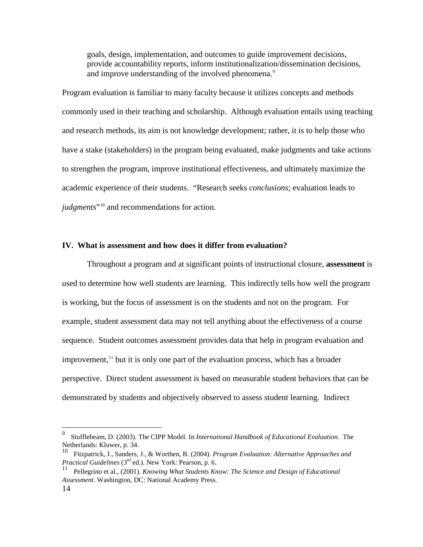goals, design, implementation, and outcomes to guide improvement decisions, provide accountability reports, inform institutionalization/dissemination decisions, and improve understanding of the involved phenomena.<sup>[9](#page-14-1)</sup>

Program evaluation is familiar to many faculty because it utilizes concepts and methods commonly used in their teaching and scholarship. Although evaluation entails using teaching and research methods, its aim is not knowledge development; rather, it is to help those who have a stake (stakeholders) in the program being evaluated, make judgments and take actions to strengthen the program, improve institutional effectiveness, and ultimately maximize the academic experience of their students. "Research seeks *conclusions*; evaluation leads to *judgments*"[10](#page-14-2) and recommendations for action.

#### <span id="page-14-0"></span>**IV. What is assessment and how does it differ from evaluation?**

Throughout a program and at significant points of instructional closure, **assessment** is used to determine how well students are learning. This indirectly tells how well the program is working, but the focus of assessment is on the students and not on the program. For example, student assessment data may not tell anything about the effectiveness of a course sequence. Student outcomes assessment provides data that help in program evaluation and improvement, $<sup>11</sup>$  $<sup>11</sup>$  $<sup>11</sup>$  but it is only one part of the evaluation process, which has a broader</sup> perspective. Direct student assessment is based on measurable student behaviors that can be demonstrated by students and objectively observed to assess student learning. Indirect

<span id="page-14-1"></span> <sup>9</sup> Stufflebeam, D. (2003). The CIPP Model. In *International Handbook of Educational Evaluation*. The Netherlands: Kluwer, p. 34.

<span id="page-14-2"></span><sup>10</sup> Fitzpatrick, J., Sanders, J., & Worthen, B. (2004). *Program Evaluation: Alternative Approaches and Practical Guidelines* (3rd ed.). New York: Pearson, p. 6.

<span id="page-14-3"></span><sup>11</sup> Pellegrino et al., (2001). *Knowing What Students Know: The Science and Design of Educational Assessment*. Washington, DC: National Academy Press.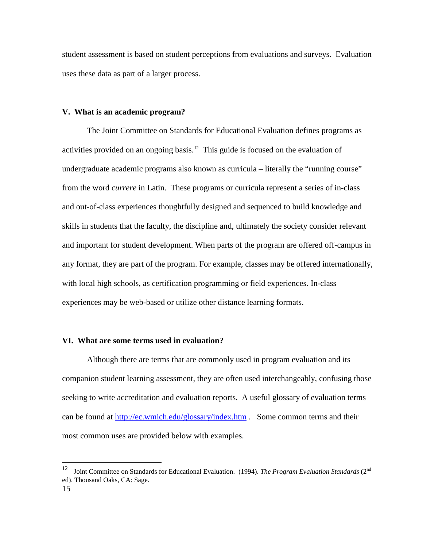student assessment is based on student perceptions from evaluations and surveys. Evaluation uses these data as part of a larger process.

#### <span id="page-15-0"></span>**V. What is an academic program?**

The Joint Committee on Standards for Educational Evaluation defines programs as activities provided on an ongoing basis.<sup>12</sup> This guide is focused on the evaluation of undergraduate academic programs also known as curricula – literally the "running course" from the word *currere* in Latin. These programs or curricula represent a series of in-class and out-of-class experiences thoughtfully designed and sequenced to build knowledge and skills in students that the faculty, the discipline and, ultimately the society consider relevant and important for student development. When parts of the program are offered off-campus in any format, they are part of the program. For example, classes may be offered internationally, with local high schools, as certification programming or field experiences. In-class experiences may be web-based or utilize other distance learning formats.

#### <span id="page-15-1"></span>**VI. What are some terms used in evaluation?**

Although there are terms that are commonly used in program evaluation and its companion student learning assessment, they are often used interchangeably, confusing those seeking to write accreditation and evaluation reports. A useful glossary of evaluation terms can be found at<http://ec.wmich.edu/glossary/index.htm> . Some common terms and their most common uses are provided below with examples.

<span id="page-15-2"></span> <sup>12</sup> Joint Committee on Standards for Educational Evaluation. (1994). *The Program Evaluation Standards* (2nd ed). Thousand Oaks, CA: Sage.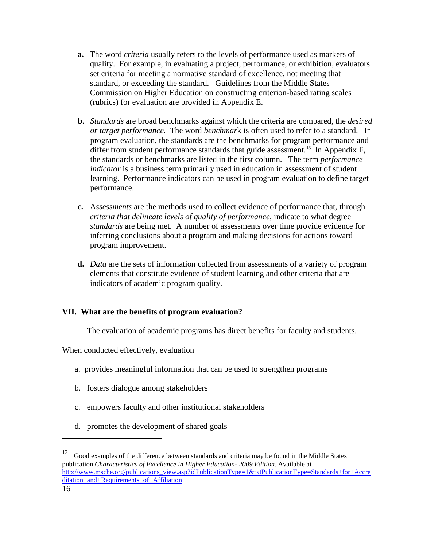- **a.** The word *criteria* usually refers to the levels of performance used as markers of quality. For example, in evaluating a project, performance, or exhibition, evaluators set criteria for meeting a normative standard of excellence, not meeting that standard, or exceeding the standard. Guidelines from the Middle States Commission on Higher Education on constructing criterion-based rating scales (rubrics) for evaluation are provided in Appendix E.
- **b.** *Standards* are broad benchmarks against which the criteria are compared, the *desired or target performance.* The word *benchmar*k is often used to refer to a standard. In program evaluation, the standards are the benchmarks for program performance and differ from student performance standards that guide assessment.<sup>[13](#page-16-1)</sup> In Appendix F, the standards or benchmarks are listed in the first column. The term *performance indicator* is a business term primarily used in education in assessment of student learning. Performance indicators can be used in program evaluation to define target performance.
- **c.** A*ssessments* are the methods used to collect evidence of performance that, through *criteria that delineate levels of quality of performance*, indicate to what degree *standards* are being met. A number of assessments over time provide evidence for inferring conclusions about a program and making decisions for actions toward program improvement.
- **d.** *Data* are the sets of information collected from assessments of a variety of program elements that constitute evidence of student learning and other criteria that are indicators of academic program quality.

## <span id="page-16-0"></span>**VII. What are the benefits of program evaluation?**

The evaluation of academic programs has direct benefits for faculty and students.

When conducted effectively, evaluation

- a. provides meaningful information that can be used to strengthen programs
- b. fosters dialogue among stakeholders
- c. empowers faculty and other institutional stakeholders
- d. promotes the development of shared goals

 $\overline{a}$ 

<span id="page-16-1"></span><sup>&</sup>lt;sup>13</sup> Good examples of the difference between standards and criteria may be found in the Middle States publication *Characteristics of Excellence in Higher Education- 2009 Edition.* Available at [http://www.msche.org/publications\\_view.asp?idPublicationType=1&txtPublicationType=Standards+for+Accre](http://www.msche.org/publications_view.asp?idPublicationType=1&txtPublicationType=Standards+for+Accreditation+and+Requirements+of+Affiliation) [ditation+and+Requirements+of+Affiliation](http://www.msche.org/publications_view.asp?idPublicationType=1&txtPublicationType=Standards+for+Accreditation+and+Requirements+of+Affiliation)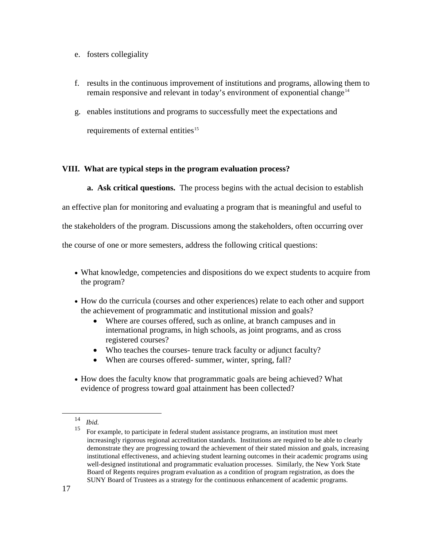- e. fosters collegiality
- f. results in the continuous improvement of institutions and programs, allowing them to remain responsive and relevant in today's environment of exponential change<sup>[14](#page-17-2)</sup>
- g. enables institutions and programs to successfully meet the expectations and requirements of external entities<sup>15</sup>

## <span id="page-17-0"></span>**VIII. What are typical steps in the program evaluation process?**

<span id="page-17-1"></span>**a. Ask critical questions.** The process begins with the actual decision to establish

an effective plan for monitoring and evaluating a program that is meaningful and useful to

the stakeholders of the program. Discussions among the stakeholders, often occurring over

the course of one or more semesters, address the following critical questions:

- What knowledge, competencies and dispositions do we expect students to acquire from the program?
- How do the curricula (courses and other experiences) relate to each other and support the achievement of programmatic and institutional mission and goals?
	- Where are courses offered, such as online, at branch campuses and in international programs, in high schools, as joint programs, and as cross registered courses?
	- Who teaches the courses- tenure track faculty or adjunct faculty?
	- When are courses offered- summer, winter, spring, fall?
- How does the faculty know that programmatic goals are being achieved? What evidence of progress toward goal attainment has been collected?

<span id="page-17-3"></span><span id="page-17-2"></span> <sup>14</sup> *Ibid.*

<sup>15</sup> For example, to participate in federal student assistance programs, an institution must meet increasingly rigorous regional accreditation standards. Institutions are required to be able to clearly demonstrate they are progressing toward the achievement of their stated mission and goals, increasing institutional effectiveness, and achieving student learning outcomes in their academic programs using well-designed institutional and programmatic evaluation processes. Similarly, the New York State Board of Regents requires program evaluation as a condition of program registration, as does the SUNY Board of Trustees as a strategy for the continuous enhancement of academic programs.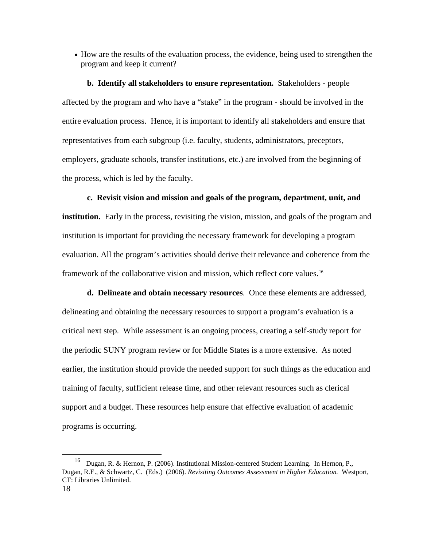• How are the results of the evaluation process, the evidence, being used to strengthen the program and keep it current?

<span id="page-18-0"></span>**b. Identify all stakeholders to ensure representation.** Stakeholders - people affected by the program and who have a "stake" in the program - should be involved in the entire evaluation process. Hence, it is important to identify all stakeholders and ensure that representatives from each subgroup (i.e. faculty, students, administrators, preceptors, employers, graduate schools, transfer institutions, etc.) are involved from the beginning of the process, which is led by the faculty.

<span id="page-18-1"></span>**c. Revisit vision and mission and goals of the program, department, unit, and institution.** Early in the process, revisiting the vision, mission, and goals of the program and institution is important for providing the necessary framework for developing a program evaluation. All the program's activities should derive their relevance and coherence from the framework of the collaborative vision and mission, which reflect core values.[16](#page-18-3)

<span id="page-18-2"></span>**d. Delineate and obtain necessary resources**. Once these elements are addressed, delineating and obtaining the necessary resources to support a program's evaluation is a critical next step. While assessment is an ongoing process, creating a self-study report for the periodic SUNY program review or for Middle States is a more extensive. As noted earlier, the institution should provide the needed support for such things as the education and training of faculty, sufficient release time, and other relevant resources such as clerical support and a budget. These resources help ensure that effective evaluation of academic programs is occurring.

<span id="page-18-3"></span> <sup>16</sup> Dugan, R. & Hernon, P. (2006). Institutional Mission-centered Student Learning. In Hernon, P., Dugan, R.E., & Schwartz, C. (Eds.) (2006). *Revisiting Outcomes Assessment in Higher Education.* Westport, CT: Libraries Unlimited.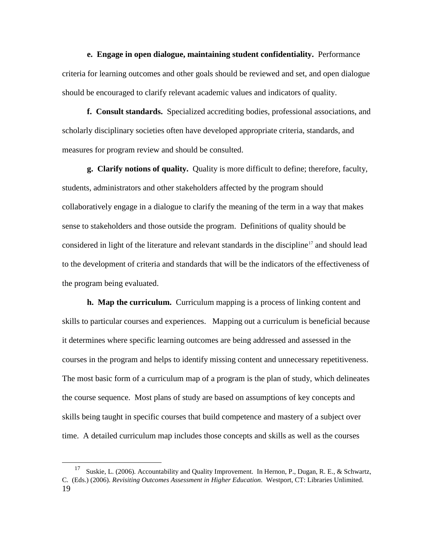<span id="page-19-0"></span>**e. Engage in open dialogue, maintaining student confidentiality.** Performance criteria for learning outcomes and other goals should be reviewed and set, and open dialogue should be encouraged to clarify relevant academic values and indicators of quality.

<span id="page-19-1"></span>**f. Consult standards.** Specialized accrediting bodies, professional associations, and scholarly disciplinary societies often have developed appropriate criteria, standards, and measures for program review and should be consulted.

<span id="page-19-2"></span>**g. Clarify notions of quality.** Quality is more difficult to define; therefore, faculty, students, administrators and other stakeholders affected by the program should collaboratively engage in a dialogue to clarify the meaning of the term in a way that makes sense to stakeholders and those outside the program. Definitions of quality should be considered in light of the literature and relevant standards in the discipline<sup>[17](#page-19-4)</sup> and should lead to the development of criteria and standards that will be the indicators of the effectiveness of the program being evaluated.

<span id="page-19-3"></span>**h. Map the curriculum.** Curriculum mapping is a process of linking content and skills to particular courses and experiences. Mapping out a curriculum is beneficial because it determines where specific learning outcomes are being addressed and assessed in the courses in the program and helps to identify missing content and unnecessary repetitiveness. The most basic form of a curriculum map of a program is the plan of study, which delineates the course sequence. Most plans of study are based on assumptions of key concepts and skills being taught in specific courses that build competence and mastery of a subject over time. A detailed curriculum map includes those concepts and skills as well as the courses

<span id="page-19-4"></span><sup>19</sup> 17 Suskie, L. (2006). Accountability and Quality Improvement. In Hernon, P., Dugan, R. E., & Schwartz, C. (Eds.) (2006). *Revisiting Outcomes Assessment in Higher Education*. Westport, CT: Libraries Unlimited.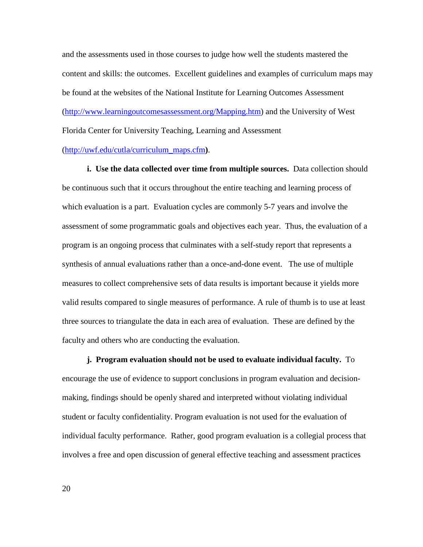and the assessments used in those courses to judge how well the students mastered the content and skills: the outcomes. Excellent guidelines and examples of curriculum maps may be found at the websites of the National Institute for Learning Outcomes Assessment [\(http://www.learningoutcomesassessment.org/Mapping.htm\)](http://www.learningoutcomesassessment.org/Mapping.htm) and the University of West Florida Center for University Teaching, Learning and Assessment [\(http://uwf.edu/cutla/curriculum\\_maps.cfm](http://uwf.edu/cutla/curriculum_maps.cfm)**)**.

<span id="page-20-0"></span>**i. Use the data collected over time from multiple sources.** Data collection should be continuous such that it occurs throughout the entire teaching and learning process of which evaluation is a part. Evaluation cycles are commonly 5-7 years and involve the assessment of some programmatic goals and objectives each year. Thus, the evaluation of a program is an ongoing process that culminates with a self-study report that represents a synthesis of annual evaluations rather than a once-and-done event. The use of multiple measures to collect comprehensive sets of data results is important because it yields more valid results compared to single measures of performance. A rule of thumb is to use at least three sources to triangulate the data in each area of evaluation. These are defined by the faculty and others who are conducting the evaluation.

<span id="page-20-1"></span>**j. Program evaluation should not be used to evaluate individual faculty.** To encourage the use of evidence to support conclusions in program evaluation and decisionmaking, findings should be openly shared and interpreted without violating individual student or faculty confidentiality. Program evaluation is not used for the evaluation of individual faculty performance. Rather, good program evaluation is a collegial process that involves a free and open discussion of general effective teaching and assessment practices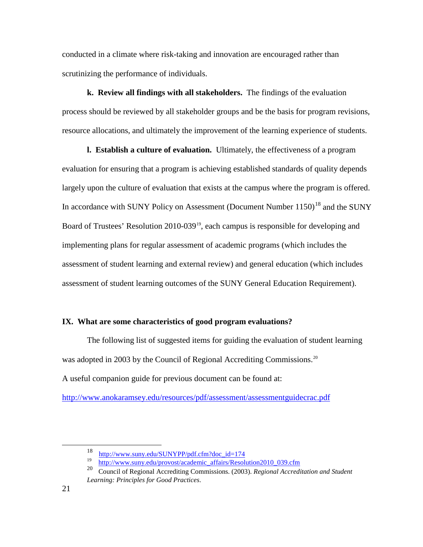conducted in a climate where risk-taking and innovation are encouraged rather than scrutinizing the performance of individuals.

<span id="page-21-0"></span>**k. Review all findings with all stakeholders.** The findings of the evaluation process should be reviewed by all stakeholder groups and be the basis for program revisions, resource allocations, and ultimately the improvement of the learning experience of students.

<span id="page-21-1"></span>**l. Establish a culture of evaluation.** Ultimately, the effectiveness of a program evaluation for ensuring that a program is achieving established standards of quality depends largely upon the culture of evaluation that exists at the campus where the program is offered. In accordance with SUNY Policy on Assessment (Document Number  $1150$ )<sup>[18](#page-21-3)</sup> and the SUNY Board of Trustees' Resolution 2010-039<sup>[19](#page-21-4)</sup>, each campus is responsible for developing and implementing plans for regular assessment of academic programs (which includes the assessment of student learning and external review) and general education (which includes assessment of student learning outcomes of the SUNY General Education Requirement).

#### <span id="page-21-2"></span>**IX. What are some characteristics of good program evaluations?**

The following list of suggested items for guiding the evaluation of student learning was adopted in 2003 by the Council of Regional Accrediting Commissions.<sup>20</sup> A useful companion guide for previous document can be found at:

<span id="page-21-3"></span><http://www.anokaramsey.edu/resources/pdf/assessment/assessmentguidecrac.pdf>

 $\frac{18}{12}$  [http://www.suny.edu/SUNYPP/pdf.cfm?doc\\_id=174](http://www.suny.edu/SUNYPP/pdf.cfm?doc_id=174)

<sup>&</sup>lt;sup>19</sup> [http://www.suny.edu/provost/academic\\_affairs/Resolution2010\\_039.cfm](http://www.suny.edu/provost/academic_affairs/Resolution2010_039.cfm)<br>  $\frac{20}{20}$  Council of Bogional Accrediting Commissions (2003). *Beginnel Accredit* 

<span id="page-21-5"></span><span id="page-21-4"></span><sup>20</sup> Council of Regional Accrediting Commissions. (2003). *Regional Accreditation and Student Learning: Principles for Good Practices*.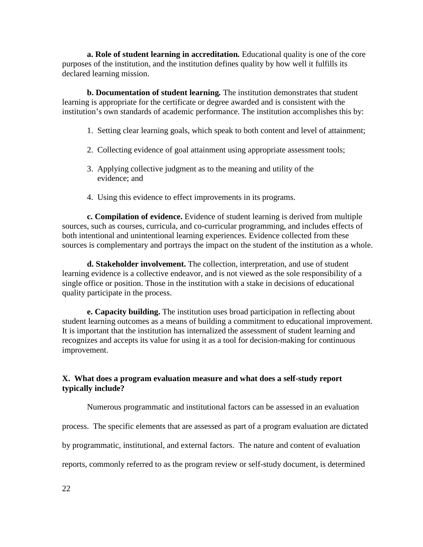<span id="page-22-0"></span>**a. Role of student learning in accreditation***.* Educational quality is one of the core purposes of the institution, and the institution defines quality by how well it fulfills its declared learning mission.

<span id="page-22-1"></span>**b. Documentation of student learning***.* The institution demonstrates that student learning is appropriate for the certificate or degree awarded and is consistent with the institution's own standards of academic performance. The institution accomplishes this by:

- 1. Setting clear learning goals, which speak to both content and level of attainment;
- 2. Collecting evidence of goal attainment using appropriate assessment tools;
- 3. Applying collective judgment as to the meaning and utility of the evidence; and
- <span id="page-22-2"></span>4. Using this evidence to effect improvements in its programs.

**c. Compilation of evidence.** Evidence of student learning is derived from multiple sources, such as courses, curricula, and co-curricular programming, and includes effects of both intentional and unintentional learning experiences. Evidence collected from these sources is complementary and portrays the impact on the student of the institution as a whole.

<span id="page-22-3"></span>**d. Stakeholder involvement.** The collection, interpretation, and use of student learning evidence is a collective endeavor, and is not viewed as the sole responsibility of a single office or position. Those in the institution with a stake in decisions of educational quality participate in the process.

<span id="page-22-4"></span>**e. Capacity building.** The institution uses broad participation in reflecting about student learning outcomes as a means of building a commitment to educational improvement. It is important that the institution has internalized the assessment of student learning and recognizes and accepts its value for using it as a tool for decision-making for continuous improvement.

## <span id="page-22-5"></span>**X. What does a program evaluation measure and what does a self-study report typically include?**

Numerous programmatic and institutional factors can be assessed in an evaluation

process. The specific elements that are assessed as part of a program evaluation are dictated

by programmatic, institutional, and external factors. The nature and content of evaluation

reports, commonly referred to as the program review or self-study document, is determined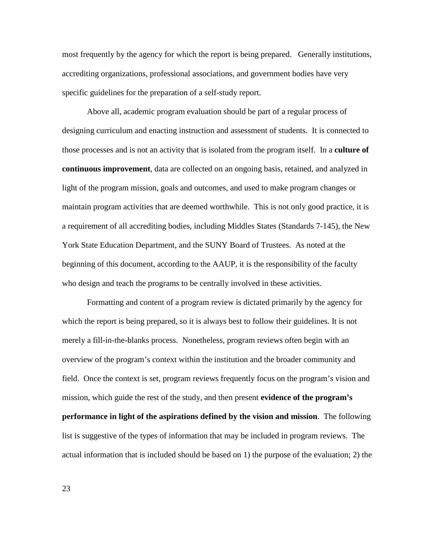most frequently by the agency for which the report is being prepared. Generally institutions, accrediting organizations, professional associations, and government bodies have very specific guidelines for the preparation of a self-study report.

Above all, academic program evaluation should be part of a regular process of designing curriculum and enacting instruction and assessment of students. It is connected to those processes and is not an activity that is isolated from the program itself. In a **culture of continuous improvement**, data are collected on an ongoing basis, retained, and analyzed in light of the program mission, goals and outcomes, and used to make program changes or maintain program activities that are deemed worthwhile. This is not only good practice, it is a requirement of all accrediting bodies, including Middles States (Standards 7-145), the New York State Education Department, and the SUNY Board of Trustees. As noted at the beginning of this document, according to the AAUP, it is the responsibility of the faculty who design and teach the programs to be centrally involved in these activities.

Formatting and content of a program review is dictated primarily by the agency for which the report is being prepared, so it is always best to follow their guidelines. It is not merely a fill-in-the-blanks process. Nonetheless, program reviews often begin with an overview of the program's context within the institution and the broader community and field. Once the context is set, program reviews frequently focus on the program's vision and mission, which guide the rest of the study, and then present **evidence of the program's performance in light of the aspirations defined by the vision and mission**. The following list is suggestive of the types of information that may be included in program reviews. The actual information that is included should be based on 1) the purpose of the evaluation; 2) the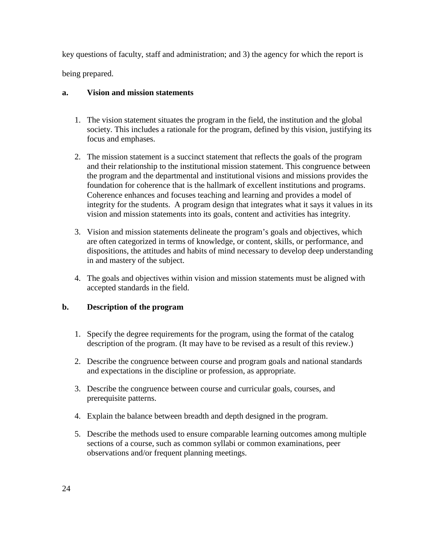key questions of faculty, staff and administration; and 3) the agency for which the report is being prepared.

## <span id="page-24-0"></span>**a. Vision and mission statements**

- 1. The vision statement situates the program in the field, the institution and the global society. This includes a rationale for the program, defined by this vision, justifying its focus and emphases.
- 2. The mission statement is a succinct statement that reflects the goals of the program and their relationship to the institutional mission statement. This congruence between the program and the departmental and institutional visions and missions provides the foundation for coherence that is the hallmark of excellent institutions and programs. Coherence enhances and focuses teaching and learning and provides a model of integrity for the students. A program design that integrates what it says it values in its vision and mission statements into its goals, content and activities has integrity.
- 3. Vision and mission statements delineate the program's goals and objectives, which are often categorized in terms of knowledge, or content, skills, or performance, and dispositions, the attitudes and habits of mind necessary to develop deep understanding in and mastery of the subject.
- 4. The goals and objectives within vision and mission statements must be aligned with accepted standards in the field.

# <span id="page-24-1"></span>**b. Description of the program**

- 1. Specify the degree requirements for the program, using the format of the catalog description of the program. (It may have to be revised as a result of this review.)
- 2. Describe the congruence between course and program goals and national standards and expectations in the discipline or profession, as appropriate.
- 3. Describe the congruence between course and curricular goals, courses, and prerequisite patterns.
- 4. Explain the balance between breadth and depth designed in the program.
- 5. Describe the methods used to ensure comparable learning outcomes among multiple sections of a course, such as common syllabi or common examinations, peer observations and/or frequent planning meetings.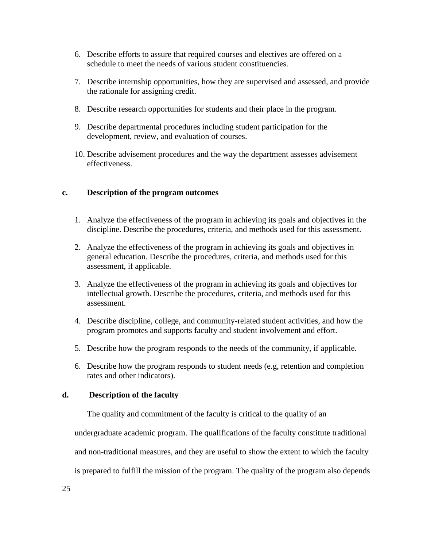- 6. Describe efforts to assure that required courses and electives are offered on a schedule to meet the needs of various student constituencies.
- 7. Describe internship opportunities, how they are supervised and assessed, and provide the rationale for assigning credit.
- 8. Describe research opportunities for students and their place in the program.
- 9. Describe departmental procedures including student participation for the development, review, and evaluation of courses.
- <span id="page-25-0"></span>10. Describe advisement procedures and the way the department assesses advisement effectiveness.

## **c. Description of the program outcomes**

- 1. Analyze the effectiveness of the program in achieving its goals and objectives in the discipline. Describe the procedures, criteria, and methods used for this assessment.
- 2. Analyze the effectiveness of the program in achieving its goals and objectives in general education. Describe the procedures, criteria, and methods used for this assessment, if applicable.
- 3. Analyze the effectiveness of the program in achieving its goals and objectives for intellectual growth. Describe the procedures, criteria, and methods used for this assessment.
- 4. Describe discipline, college, and community-related student activities, and how the program promotes and supports faculty and student involvement and effort.
- 5. Describe how the program responds to the needs of the community, if applicable.
- 6. Describe how the program responds to student needs (e.g, retention and completion rates and other indicators).

## <span id="page-25-1"></span>**d. Description of the faculty**

The quality and commitment of the faculty is critical to the quality of an

undergraduate academic program. The qualifications of the faculty constitute traditional

and non-traditional measures, and they are useful to show the extent to which the faculty

is prepared to fulfill the mission of the program. The quality of the program also depends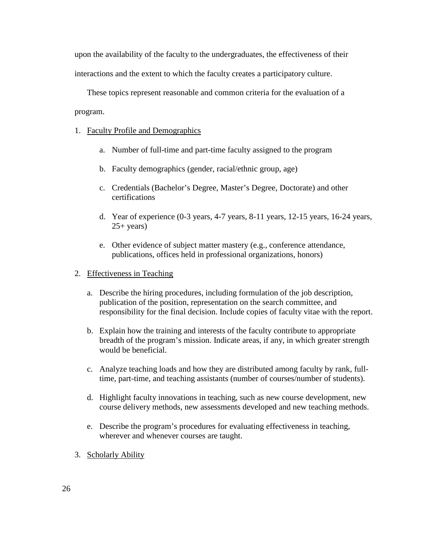upon the availability of the faculty to the undergraduates, the effectiveness of their interactions and the extent to which the faculty creates a participatory culture.

These topics represent reasonable and common criteria for the evaluation of a program.

#### 1. Faculty Profile and Demographics

- a. Number of full-time and part-time faculty assigned to the program
- b. Faculty demographics (gender, racial/ethnic group, age)
- c. Credentials (Bachelor's Degree, Master's Degree, Doctorate) and other certifications
- d. Year of experience (0-3 years, 4-7 years, 8-11 years, 12-15 years, 16-24 years,  $25+ \text{years}$ )
- e. Other evidence of subject matter mastery (e.g., conference attendance, publications, offices held in professional organizations, honors)

#### 2. Effectiveness in Teaching

- a. Describe the hiring procedures, including formulation of the job description, publication of the position, representation on the search committee, and responsibility for the final decision. Include copies of faculty vitae with the report.
- b. Explain how the training and interests of the faculty contribute to appropriate breadth of the program's mission. Indicate areas, if any, in which greater strength would be beneficial.
- c. Analyze teaching loads and how they are distributed among faculty by rank, fulltime, part-time, and teaching assistants (number of courses/number of students).
- d. Highlight faculty innovations in teaching, such as new course development, new course delivery methods, new assessments developed and new teaching methods.
- e. Describe the program's procedures for evaluating effectiveness in teaching, wherever and whenever courses are taught.
- 3. Scholarly Ability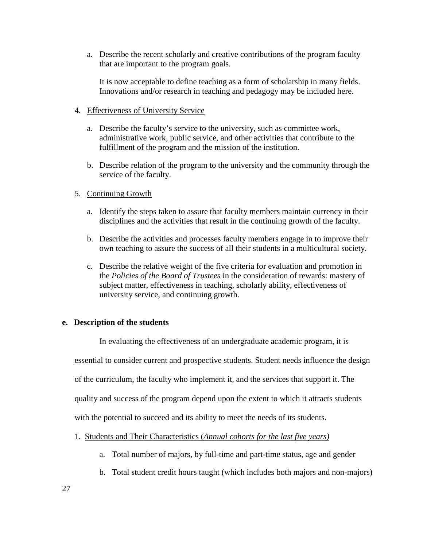a. Describe the recent scholarly and creative contributions of the program faculty that are important to the program goals.

It is now acceptable to define teaching as a form of scholarship in many fields. Innovations and/or research in teaching and pedagogy may be included here.

## 4. Effectiveness of University Service

- a. Describe the faculty's service to the university, such as committee work, administrative work, public service, and other activities that contribute to the fulfillment of the program and the mission of the institution.
- b. Describe relation of the program to the university and the community through the service of the faculty.

## 5. Continuing Growth

- a. Identify the steps taken to assure that faculty members maintain currency in their disciplines and the activities that result in the continuing growth of the faculty.
- b. Describe the activities and processes faculty members engage in to improve their own teaching to assure the success of all their students in a multicultural society.
- c. Describe the relative weight of the five criteria for evaluation and promotion in the *Policies of the Board of Trustees* in the consideration of rewards: mastery of subject matter, effectiveness in teaching, scholarly ability, effectiveness of university service, and continuing growth.

#### <span id="page-27-0"></span>**e. Description of the students**

In evaluating the effectiveness of an undergraduate academic program, it is

essential to consider current and prospective students. Student needs influence the design

of the curriculum, the faculty who implement it, and the services that support it. The

quality and success of the program depend upon the extent to which it attracts students

with the potential to succeed and its ability to meet the needs of its students.

- 1. Students and Their Characteristics (*Annual cohorts for the last five years)*
	- a. Total number of majors, by full-time and part-time status, age and gender
	- b. Total student credit hours taught (which includes both majors and non-majors)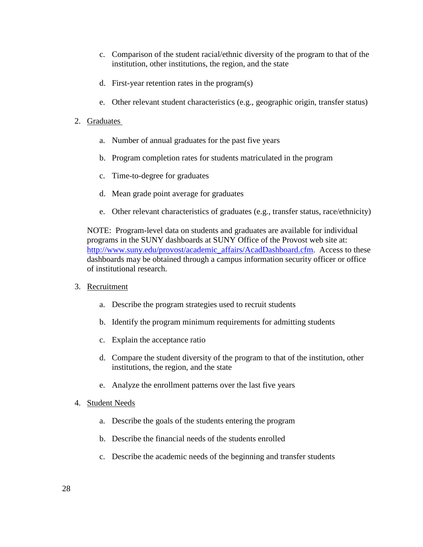- c. Comparison of the student racial/ethnic diversity of the program to that of the institution, other institutions, the region, and the state
- d. First-year retention rates in the program(s)
- e. Other relevant student characteristics (e.g., geographic origin, transfer status)
- 2. Graduates
	- a. Number of annual graduates for the past five years
	- b. Program completion rates for students matriculated in the program
	- c. Time-to-degree for graduates
	- d. Mean grade point average for graduates
	- e. Other relevant characteristics of graduates (e.g., transfer status, race/ethnicity)

NOTE: Program-level data on students and graduates are available for individual programs in the SUNY dashboards at SUNY Office of the Provost web site at: [http://www.suny.edu/provost/academic\\_affairs/AcadDashboard.cfm.](http://www.suny.edu/provost/academic_affairs/AcadDashboard.cfm) Access to these dashboards may be obtained through a campus information security officer or office of institutional research.

- 3. Recruitment
	- a. Describe the program strategies used to recruit students
	- b. Identify the program minimum requirements for admitting students
	- c. Explain the acceptance ratio
	- d. Compare the student diversity of the program to that of the institution, other institutions, the region, and the state
	- e. Analyze the enrollment patterns over the last five years
- 4. Student Needs
	- a. Describe the goals of the students entering the program
	- b. Describe the financial needs of the students enrolled
	- c. Describe the academic needs of the beginning and transfer students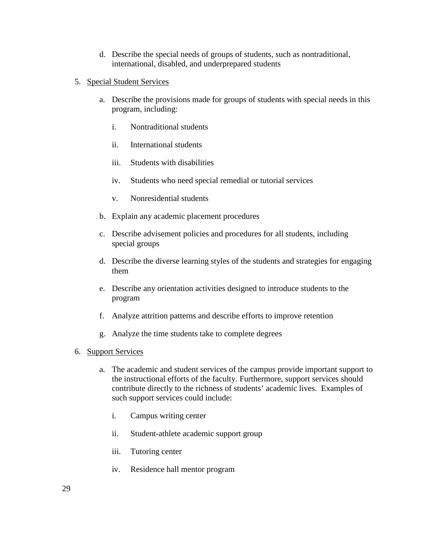- d. Describe the special needs of groups of students, such as nontraditional, international, disabled, and underprepared students
- 5. Special Student Services
	- a. Describe the provisions made for groups of students with special needs in this program, including:
		- i. Nontraditional students
		- ii. International students
		- iii. Students with disabilities
		- iv. Students who need special remedial or tutorial services
		- v. Nonresidential students
	- b. Explain any academic placement procedures
	- c. Describe advisement policies and procedures for all students, including special groups
	- d. Describe the diverse learning styles of the students and strategies for engaging them
	- e. Describe any orientation activities designed to introduce students to the program
	- f. Analyze attrition patterns and describe efforts to improve retention
	- g. Analyze the time students take to complete degrees
- 6. Support Services
	- a. The academic and student services of the campus provide important support to the instructional efforts of the faculty. Furthermore, support services should contribute directly to the richness of students' academic lives. Examples of such support services could include:
		- i. Campus writing center
		- ii. Student-athlete academic support group
		- iii. Tutoring center
		- iv. Residence hall mentor program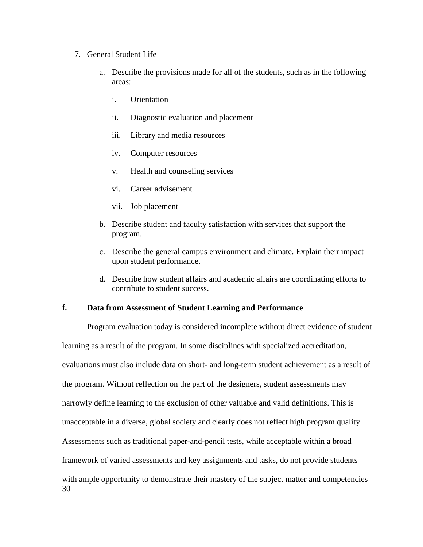#### 7. General Student Life

- a. Describe the provisions made for all of the students, such as in the following areas:
	- i. Orientation
	- ii. Diagnostic evaluation and placement
	- iii. Library and media resources
	- iv. Computer resources
	- v. Health and counseling services
	- vi. Career advisement
	- vii. Job placement
- b. Describe student and faculty satisfaction with services that support the program.
- c. Describe the general campus environment and climate. Explain their impact upon student performance.
- d. Describe how student affairs and academic affairs are coordinating efforts to contribute to student success.

## <span id="page-30-0"></span>**f. Data from Assessment of Student Learning and Performance**

30 Program evaluation today is considered incomplete without direct evidence of student learning as a result of the program. In some disciplines with specialized accreditation, evaluations must also include data on short- and long-term student achievement as a result of the program. Without reflection on the part of the designers, student assessments may narrowly define learning to the exclusion of other valuable and valid definitions. This is unacceptable in a diverse, global society and clearly does not reflect high program quality. Assessments such as traditional paper-and-pencil tests, while acceptable within a broad framework of varied assessments and key assignments and tasks, do not provide students with ample opportunity to demonstrate their mastery of the subject matter and competencies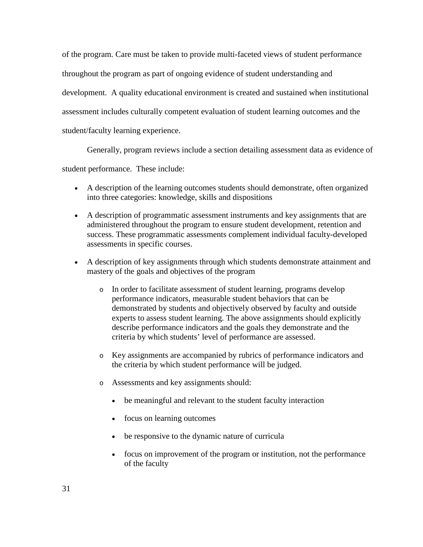of the program. Care must be taken to provide multi-faceted views of student performance throughout the program as part of ongoing evidence of student understanding and development. A quality educational environment is created and sustained when institutional assessment includes culturally competent evaluation of student learning outcomes and the student/faculty learning experience.

Generally, program reviews include a section detailing assessment data as evidence of

student performance. These include:

- A description of the learning outcomes students should demonstrate, often organized into three categories: knowledge, skills and dispositions
- A description of programmatic assessment instruments and key assignments that are administered throughout the program to ensure student development, retention and success. These programmatic assessments complement individual faculty-developed assessments in specific courses.
- A description of key assignments through which students demonstrate attainment and mastery of the goals and objectives of the program
	- o In order to facilitate assessment of student learning, programs develop performance indicators, measurable student behaviors that can be demonstrated by students and objectively observed by faculty and outside experts to assess student learning. The above assignments should explicitly describe performance indicators and the goals they demonstrate and the criteria by which students' level of performance are assessed.
	- o Key assignments are accompanied by rubrics of performance indicators and the criteria by which student performance will be judged.
	- o Assessments and key assignments should:
		- be meaningful and relevant to the student faculty interaction
		- focus on learning outcomes
		- be responsive to the dynamic nature of curricula
		- focus on improvement of the program or institution, not the performance of the faculty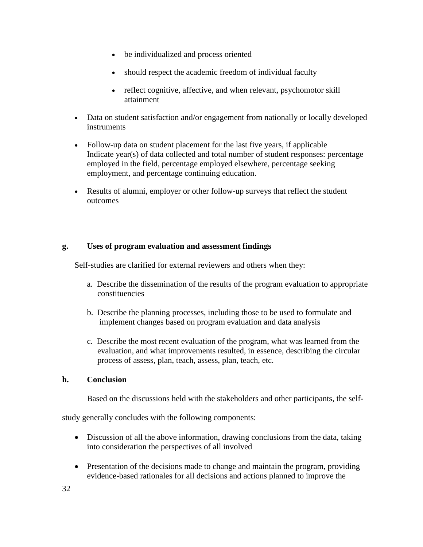- be individualized and process oriented
- should respect the academic freedom of individual faculty
- reflect cognitive, affective, and when relevant, psychomotor skill attainment
- Data on student satisfaction and/or engagement from nationally or locally developed instruments
- Follow-up data on student placement for the last five years, if applicable Indicate year(s) of data collected and total number of student responses: percentage employed in the field, percentage employed elsewhere, percentage seeking employment, and percentage continuing education.
- Results of alumni, employer or other follow-up surveys that reflect the student outcomes

## <span id="page-32-0"></span>**g. Uses of program evaluation and assessment findings**

Self-studies are clarified for external reviewers and others when they:

- a. Describe the dissemination of the results of the program evaluation to appropriate constituencies
- b. Describe the planning processes, including those to be used to formulate and implement changes based on program evaluation and data analysis
- c. Describe the most recent evaluation of the program, what was learned from the evaluation, and what improvements resulted, in essence, describing the circular process of assess, plan, teach, assess, plan, teach, etc.

## <span id="page-32-1"></span>**h. Conclusion**

Based on the discussions held with the stakeholders and other participants, the self-

study generally concludes with the following components:

- Discussion of all the above information, drawing conclusions from the data, taking into consideration the perspectives of all involved
- Presentation of the decisions made to change and maintain the program, providing evidence-based rationales for all decisions and actions planned to improve the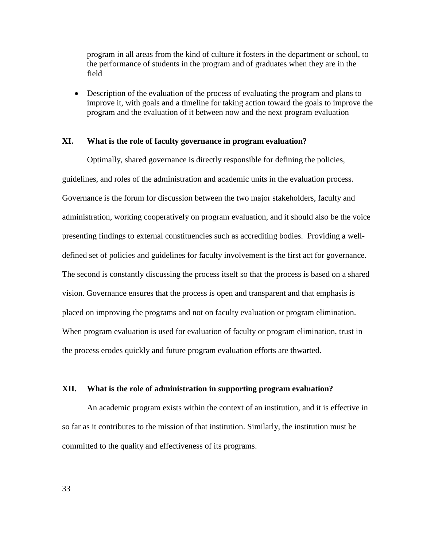program in all areas from the kind of culture it fosters in the department or school, to the performance of students in the program and of graduates when they are in the field

• Description of the evaluation of the process of evaluating the program and plans to improve it, with goals and a timeline for taking action toward the goals to improve the program and the evaluation of it between now and the next program evaluation

#### <span id="page-33-0"></span>**XI. What is the role of faculty governance in program evaluation?**

Optimally, shared governance is directly responsible for defining the policies, guidelines, and roles of the administration and academic units in the evaluation process. Governance is the forum for discussion between the two major stakeholders, faculty and administration, working cooperatively on program evaluation, and it should also be the voice presenting findings to external constituencies such as accrediting bodies. Providing a welldefined set of policies and guidelines for faculty involvement is the first act for governance. The second is constantly discussing the process itself so that the process is based on a shared vision. Governance ensures that the process is open and transparent and that emphasis is placed on improving the programs and not on faculty evaluation or program elimination. When program evaluation is used for evaluation of faculty or program elimination, trust in the process erodes quickly and future program evaluation efforts are thwarted.

#### <span id="page-33-1"></span>**XII. What is the role of administration in supporting program evaluation?**

An academic program exists within the context of an institution, and it is effective in so far as it contributes to the mission of that institution. Similarly, the institution must be committed to the quality and effectiveness of its programs.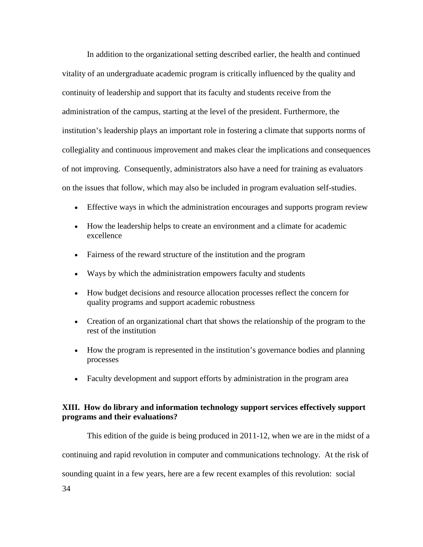In addition to the organizational setting described earlier, the health and continued vitality of an undergraduate academic program is critically influenced by the quality and continuity of leadership and support that its faculty and students receive from the administration of the campus, starting at the level of the president. Furthermore, the institution's leadership plays an important role in fostering a climate that supports norms of collegiality and continuous improvement and makes clear the implications and consequences of not improving. Consequently, administrators also have a need for training as evaluators on the issues that follow, which may also be included in program evaluation self-studies.

- Effective ways in which the administration encourages and supports program review
- How the leadership helps to create an environment and a climate for academic excellence
- Fairness of the reward structure of the institution and the program
- Ways by which the administration empowers faculty and students
- How budget decisions and resource allocation processes reflect the concern for quality programs and support academic robustness
- Creation of an organizational chart that shows the relationship of the program to the rest of the institution
- How the program is represented in the institution's governance bodies and planning processes
- Faculty development and support efforts by administration in the program area

## <span id="page-34-0"></span>**XIII. How do library and information technology support services effectively support programs and their evaluations?**

34 This edition of the guide is being produced in 2011-12, when we are in the midst of a continuing and rapid revolution in computer and communications technology. At the risk of sounding quaint in a few years, here are a few recent examples of this revolution: social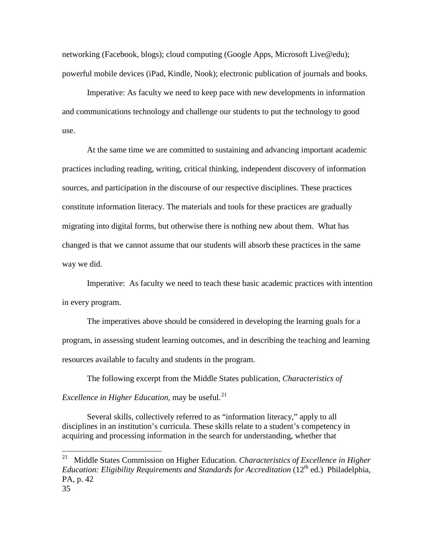networking (Facebook, blogs); cloud computing (Google Apps, Microsoft Live@edu); powerful mobile devices (iPad, Kindle, Nook); electronic publication of journals and books.

Imperative: As faculty we need to keep pace with new developments in information and communications technology and challenge our students to put the technology to good use.

At the same time we are committed to sustaining and advancing important academic practices including reading, writing, critical thinking, independent discovery of information sources, and participation in the discourse of our respective disciplines. These practices constitute information literacy. The materials and tools for these practices are gradually migrating into digital forms, but otherwise there is nothing new about them. What has changed is that we cannot assume that our students will absorb these practices in the same way we did.

Imperative: As faculty we need to teach these basic academic practices with intention in every program.

The imperatives above should be considered in developing the learning goals for a program, in assessing student learning outcomes, and in describing the teaching and learning resources available to faculty and students in the program.

The following excerpt from the Middle States publication, *Characteristics of Excellence in Higher Education*, may be useful.<sup>[21](#page-35-0)</sup>

Several skills, collectively referred to as "information literacy," apply to all disciplines in an institution's curricula. These skills relate to a student's competency in acquiring and processing information in the search for understanding, whether that

<span id="page-35-0"></span><sup>35</sup> 21 Middle States Commission on Higher Education. *Characteristics of Excellence in Higher Education: Eligibility Requirements and Standards for Accreditation* (12<sup>th</sup> ed.) Philadelphia, PA, p. 42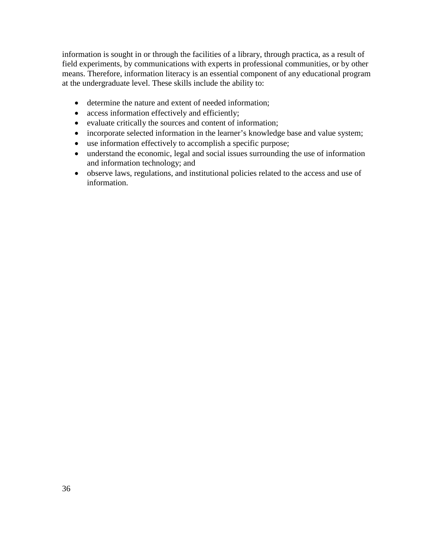information is sought in or through the facilities of a library, through practica, as a result of field experiments, by communications with experts in professional communities, or by other means. Therefore, information literacy is an essential component of any educational program at the undergraduate level. These skills include the ability to:

- determine the nature and extent of needed information;
- access information effectively and efficiently;
- evaluate critically the sources and content of information;
- incorporate selected information in the learner's knowledge base and value system;
- use information effectively to accomplish a specific purpose;
- understand the economic, legal and social issues surrounding the use of information and information technology; and
- observe laws, regulations, and institutional policies related to the access and use of information.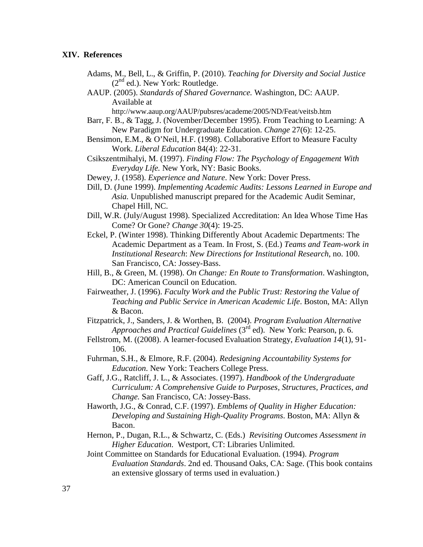#### <span id="page-37-0"></span>**XIV. References**

- Adams, M., Bell, L., & Griffin, P. (2010). *Teaching for Diversity and Social Justice*  $(2<sup>nd</sup>$  ed.). New York: Routledge.
- AAUP. (2005). *Standards of Shared Governance.* Washington, DC: AAUP. Available at

http://www.aaup.org/AAUP/pubsres/academe/2005/ND/Feat/veitsb.htm

- Barr, F. B., & Tagg, J. (November/December 1995). From Teaching to Learning: A New Paradigm for Undergraduate Education. *Change* 27(6): 12-25.
- Bensimon, E.M., & O'Neil, H.F. (1998). Collaborative Effort to Measure Faculty Work. *Liberal Education* 84(4): 22-31.
- Csikszentmihalyi, M. (1997). *Finding Flow: The Psychology of Engagement With Everyday Life.* New York, NY: Basic Books.
- Dewey, J. (1958). *Experience and Nature*. New York: Dover Press.
- Dill, D. (June 1999). *Implementing Academic Audits: Lessons Learned in Europe and Asia.* Unpublished manuscript prepared for the Academic Audit Seminar, Chapel Hill, NC.
- Dill, W.R. (July/August 1998). Specialized Accreditation: An Idea Whose Time Has Come? Or Gone? *Change 30*(4): 19-25.
- Eckel, P. (Winter 1998). Thinking Differently About Academic Departments: The Academic Department as a Team. In Frost, S. (Ed.) *Teams and Team-work in Institutional Research*: *New Directions for Institutional Research*, no. 100. San Francisco, CA: Jossey-Bass.
- Hill, B., & Green, M. (1998). *On Change: En Route to Transformation*. Washington, DC: American Council on Education.
- Fairweather, J. (1996). *Faculty Work and the Public Trust: Restoring the Value of Teaching and Public Service in American Academic Life*. Boston, MA: Allyn & Bacon.
- Fitzpatrick, J., Sanders, J. & Worthen, B. (2004). *Program Evaluation Alternative Approaches and Practical Guidelines* (3rd ed). New York: Pearson, p. 6.
- Fellstrom, M. ((2008). A learner-focused Evaluation Strategy, *Evaluation 14*(1), 91- 106.
- Fuhrman, S.H., & Elmore, R.F. (2004). *Redesigning Accountability Systems for Education*. New York: Teachers College Press.
- Gaff, J.G., Ratcliff, J. L., & Associates. (1997). *Handbook of the Undergraduate Curriculum: A Comprehensive Guide to Purposes, Structures, Practices, and Change.* San Francisco, CA: Jossey-Bass.
- Haworth, J.G., & Conrad, C.F. (1997). *Emblems of Quality in Higher Education: Developing and Sustaining High-Quality Programs*. Boston, MA: Allyn & Bacon.
- Hernon, P., Dugan, R.L., & Schwartz, C. (Eds.) *Revisiting Outcomes Assessment in Higher Education*. Westport, CT: Libraries Unlimited.
- Joint Committee on Standards for Educational Evaluation. (1994). *Program Evaluation Standards*. 2nd ed. Thousand Oaks, CA: Sage. (This book contains an extensive glossary of terms used in evaluation.)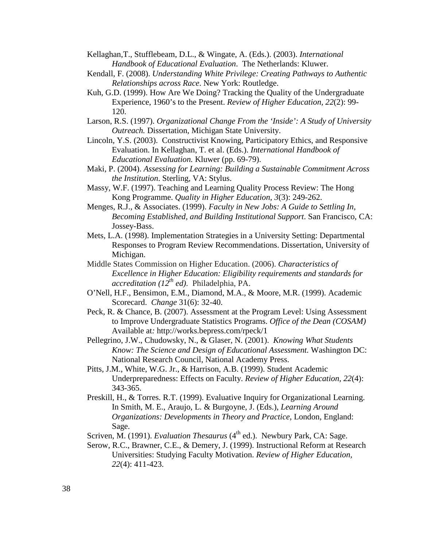Kellaghan,T., Stufflebeam, D.L., & Wingate, A. (Eds.). (2003). *International Handbook of Educational Evaluation*. The Netherlands: Kluwer.

- Kendall, F. (2008). *Understanding White Privilege: Creating Pathways to Authentic Relationships across Race*. New York: Routledge.
- Kuh, G.D. (1999). How Are We Doing? Tracking the Quality of the Undergraduate Experience, 1960's to the Present. *Review of Higher Education, 22*(2): 99- 120.
- Larson, R.S. (1997). *Organizational Change From the 'Inside': A Study of University Outreach.* Dissertation, Michigan State University.
- Lincoln, Y.S. (2003). Constructivist Knowing, Participatory Ethics, and Responsive Evaluation. In Kellaghan, T. et al. (Eds.). *International Handbook of Educational Evaluation.* Kluwer (pp. 69-79).
- Maki, P. (2004). *Assessing for Learning: Building a Sustainable Commitment Across the Institution*. Sterling, VA: Stylus.
- Massy, W.F. (1997). Teaching and Learning Quality Process Review: The Hong Kong Programme. *Quality in Higher Education, 3*(3): 249-262.
- Menges, R.J., & Associates. (1999). *Faculty in New Jobs: A Guide to Settling In, Becoming Established, and Building Institutional Support*. San Francisco, CA: Jossey-Bass.
- Mets, L.A. (1998). Implementation Strategies in a University Setting: Departmental Responses to Program Review Recommendations. Dissertation, University of Michigan.
- Middle States Commission on Higher Education. (2006). *Characteristics of Excellence in Higher Education: Eligibility requirements and standards for accreditation (12th ed)*. Philadelphia, PA.
- O'Nell, H.F., Bensimon, E.M., Diamond, M.A., & Moore, M.R. (1999). Academic Scorecard. *Change* 31(6): 32-40.
- Peck, R. & Chance, B. (2007). Assessment at the Program Level: Using Assessment to Improve Undergraduate Statistics Programs. *Office of the Dean (COSAM)* Available at*:* http://works.bepress.com/rpeck/1
- Pellegrino, J.W., Chudowsky, N., & Glaser, N. (2001). *Knowing What Students Know: The Science and Design of Educational Assessment.* Washington DC: National Research Council, National Academy Press.
- Pitts, J.M., White, W.G. Jr., & Harrison, A.B. (1999). Student Academic Underpreparedness: Effects on Faculty. *Review of Higher Education, 22*(4): 343-365.
- Preskill, H., & Torres. R.T. (1999). Evaluative Inquiry for Organizational Learning. In Smith, M. E., Araujo, L. & Burgoyne, J. (Eds.), *Learning Around Organizations: Developments in Theory and Practice*, London, England: Sage.
- Scriven, M. (1991). *Evaluation Thesaurus* (4<sup>th</sup> ed.). Newbury Park, CA: Sage.
- Serow, R.C., Brawner, C.E., & Demery, J. (1999). Instructional Reform at Research Universities: Studying Faculty Motivation. *Review of Higher Education, 22*(4): 411-423.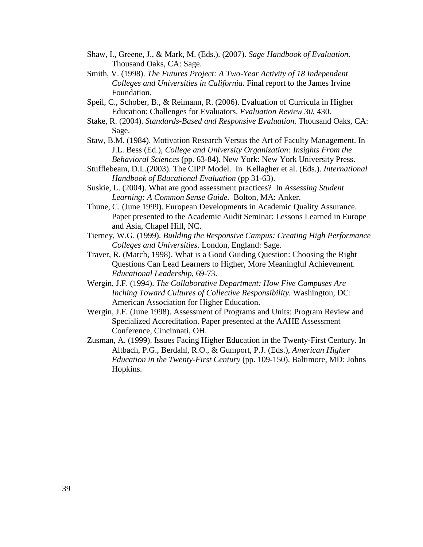- Shaw, I., Greene, J., & Mark, M. (Eds.). (2007). *Sage Handbook of Evaluation*. Thousand Oaks, CA: Sage.
- Smith, V. (1998). *The Futures Project: A Two-Year Activity of 18 Independent Colleges and Universities in California.* Final report to the James Irvine Foundation.
- Speil, C., Schober, B., & Reimann, R. (2006). Evaluation of Curricula in Higher Education: Challenges for Evaluators. *Evaluation Review 30*, 430.
- Stake, R. (2004). *Standards-Based and Responsive Evaluation*. Thousand Oaks, CA: Sage.
- Staw, B.M. (1984). Motivation Research Versus the Art of Faculty Management. In J.L. Bess (Ed.), *College and University Organization: Insights From the Behavioral Sciences* (pp. 63-84). New York: New York University Press.
- Stufflebeam, D.L.(2003). The CIPP Model. In Kellagher et al. (Eds.). *International Handbook of Educational Evaluation* (pp 31-63).
- Suskie, L. (2004). What are good assessment practices? In *Assessing Student Learning: A Common Sense Guide.* Bolton, MA: Anker.
- Thune, C. (June 1999). European Developments in Academic Quality Assurance. Paper presented to the Academic Audit Seminar: Lessons Learned in Europe and Asia, Chapel Hill, NC.
- Tierney, W.G. (1999). *Building the Responsive Campus: Creating High Performance Colleges and Universities*. London, England: Sage.
- Traver, R. (March, 1998). What is a Good Guiding Question: Choosing the Right Questions Can Lead Learners to Higher, More Meaningful Achievement. *Educational Leadership*, 69-73.
- Wergin, J.F. (1994). *The Collaborative Department: How Five Campuses Are Inching Toward Cultures of Collective Responsibility.* Washington, DC: American Association for Higher Education.
- Wergin, J.F. (June 1998). Assessment of Programs and Units: Program Review and Specialized Accreditation. Paper presented at the AAHE Assessment Conference, Cincinnati, OH.
- Zusman, A. (1999). Issues Facing Higher Education in the Twenty-First Century. In Altbach, P.G., Berdahl, R.O., & Gumport, P.J. (Eds.), *American Higher Education in the Twenty-First Century* (pp. 109-150). Baltimore, MD: Johns Hopkins.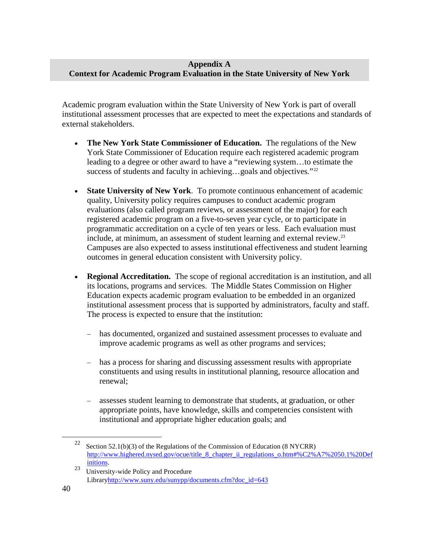## <span id="page-40-0"></span>**Appendix A Context for Academic Program Evaluation in the State University of New York**

Academic program evaluation within the State University of New York is part of overall institutional assessment processes that are expected to meet the expectations and standards of external stakeholders.

- **The New York State Commissioner of Education.** The regulations of the New York State Commissioner of Education require each registered academic program leading to a degree or other award to have a "reviewing system…to estimate the success of students and faculty in achieving...goals and objectives." $22$
- **State University of New York**. To promote continuous enhancement of academic quality, University policy requires campuses to conduct academic program evaluations (also called program reviews, or assessment of the major) for each registered academic program on a five-to-seven year cycle, or to participate in programmatic accreditation on a cycle of ten years or less. Each evaluation must include, at minimum, an assessment of student learning and external review.<sup>23</sup> Campuses are also expected to assess institutional effectiveness and student learning outcomes in general education consistent with University policy.
- **Regional Accreditation.** The scope of regional accreditation is an institution, and all its locations, programs and services. The Middle States Commission on Higher Education expects academic program evaluation to be embedded in an organized institutional assessment process that is supported by administrators, faculty and staff. The process is expected to ensure that the institution:
	- has documented, organized and sustained assessment processes to evaluate and improve academic programs as well as other programs and services;
	- − has a process for sharing and discussing assessment results with appropriate constituents and using results in institutional planning, resource allocation and renewal;
	- assesses student learning to demonstrate that students, at graduation, or other appropriate points, have knowledge, skills and competencies consistent with institutional and appropriate higher education goals; and

<span id="page-40-1"></span><sup>&</sup>lt;sup>22</sup> Section 52.1(b)(3) of the Regulations of the Commission of Education (8 NYCRR) http://www.highered.nysed.gov/ocue/title 8 chapter ii regulations  $\omega$ .htm#%C2%A7%2050.1%20Def

<span id="page-40-2"></span><sup>23</sup> [initions.](http://www.highered.nysed.gov/ocue/title_8_chapter_ii_regulations_o.htm%20/%20%C2%A7%2050.1%20Definitions)<br>
University-wide Policy and Procedure Librar[yhttp://www.suny.edu/sunypp/documents.cfm?doc\\_id=643](http://www.suny.edu/sunypp/documents.cfm?doc_id=643)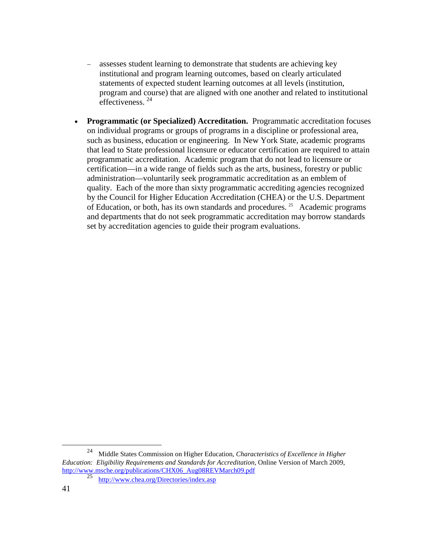- assesses student learning to demonstrate that students are achieving key institutional and program learning outcomes, based on clearly articulated statements of expected student learning outcomes at all levels (institution, program and course) that are aligned with one another and related to institutional effectiveness. [24](#page-41-0)
- **Programmatic (or Specialized) Accreditation.** Programmatic accreditation focuses on individual programs or groups of programs in a discipline or professional area, such as business, education or engineering. In New York State, academic programs that lead to State professional licensure or educator certification are required to attain programmatic accreditation. Academic program that do not lead to licensure or certification—in a wide range of fields such as the arts, business, forestry or public administration—voluntarily seek programmatic accreditation as an emblem of quality. Each of the more than sixty programmatic accrediting agencies recognized by the Council for Higher Education Accreditation (CHEA) or the U.S. Department of Education, or both, has its own standards and procedures. [25](#page-41-1) Academic programs and departments that do not seek programmatic accreditation may borrow standards set by accreditation agencies to guide their program evaluations.

<span id="page-41-1"></span><span id="page-41-0"></span> <sup>24</sup> Middle States Commission on Higher Education, *Characteristics of Excellence in Higher Education: Eligibility Requirements and Standards for Accreditation*, Online Version of March 2009, [http://www.msche.org/publications/CHX06\\_Aug08REVMarch09.pdf](http://www.msche.org/publications/CHX06_Aug08REVMarch09.pdf)

<sup>25</sup> <http://www.chea.org/Directories/index.asp>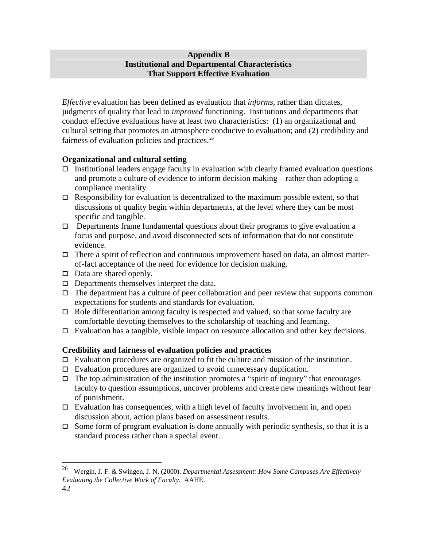## <span id="page-42-0"></span>**Appendix B Institutional and Departmental Characteristics That Support Effective Evaluation**

*Effective* evaluation has been defined as evaluation that *informs,* rather than dictates, judgments of quality that lead to *improved* functioning. Institutions and departments that conduct effective evaluations have at least two characteristics: (1) an organizational and cultural setting that promotes an atmosphere conducive to evaluation; and (2) credibility and fairness of evaluation policies and practices.<sup>26</sup>

# **Organizational and cultural setting**

- $\Box$  Institutional leaders engage faculty in evaluation with clearly framed evaluation questions and promote a culture of evidence to inform decision making – rather than adopting a compliance mentality.
- $\Box$  Responsibility for evaluation is decentralized to the maximum possible extent, so that discussions of quality begin within departments, at the level where they can be most specific and tangible.
- $\Box$  Departments frame fundamental questions about their programs to give evaluation a focus and purpose, and avoid disconnected sets of information that do not constitute evidence.
- $\Box$  There a spirit of reflection and continuous improvement based on data, an almost matterof-fact acceptance of the need for evidence for decision making.
- $\Box$  Data are shared openly.
- $\Box$  Departments themselves interpret the data.
- $\Box$  The department has a culture of peer collaboration and peer review that supports common expectations for students and standards for evaluation.
- $\Box$  Role differentiation among faculty is respected and valued, so that some faculty are comfortable devoting themselves to the scholarship of teaching and learning.
- $\Box$  Evaluation has a tangible, visible impact on resource allocation and other key decisions.

# **Credibility and fairness of evaluation policies and practices**

- $\Box$  Evaluation procedures are organized to fit the culture and mission of the institution.
- $\Box$  Evaluation procedures are organized to avoid unnecessary duplication.
- $\Box$  The top administration of the institution promotes a "spirit of inquiry" that encourages faculty to question assumptions, uncover problems and create new meanings without fear of punishment.
- $\Box$  Evaluation has consequences, with a high level of faculty involvement in, and open discussion about, action plans based on assessment results.
- $\Box$  Some form of program evaluation is done annually with periodic synthesis, so that it is a standard process rather than a special event.

<span id="page-42-1"></span> <sup>26</sup> Wergin, J. F. & Swingen, J. N. (2000). *Departmental Assessment: How Some Campuses Are Effectively Evaluating the Collective Work of Faculty*. AAHE.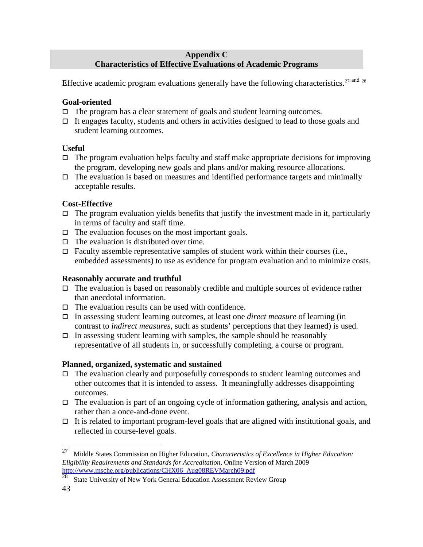## <span id="page-43-0"></span>**Appendix C Characteristics of Effective Evaluations of Academic Programs**

Effective academic program evaluations generally have the following characteristics.<sup>[27](#page-43-1) and [28](#page-43-2)</sup>

# **Goal-oriented**

- $\Box$  The program has a clear statement of goals and student learning outcomes.
- $\Box$  It engages faculty, students and others in activities designed to lead to those goals and student learning outcomes.

# **Useful**

- $\Box$  The program evaluation helps faculty and staff make appropriate decisions for improving the program, developing new goals and plans and/or making resource allocations.
- $\Box$  The evaluation is based on measures and identified performance targets and minimally acceptable results.

# **Cost-Effective**

- $\Box$  The program evaluation yields benefits that justify the investment made in it, particularly in terms of faculty and staff time.
- $\Box$  The evaluation focuses on the most important goals.
- $\Box$  The evaluation is distributed over time.
- $\Box$  Faculty assemble representative samples of student work within their courses (i.e., embedded assessments) to use as evidence for program evaluation and to minimize costs.

# **Reasonably accurate and truthful**

- $\Box$  The evaluation is based on reasonably credible and multiple sources of evidence rather than anecdotal information.
- $\Box$  The evaluation results can be used with confidence.
- In assessing student learning outcomes, at least one *direct measure* of learning (in contrast to *indirect measures*, such as students' perceptions that they learned) is used.
- $\Box$  In assessing student learning with samples, the sample should be reasonably representative of all students in, or successfully completing, a course or program.

# **Planned, organized, systematic and sustained**

- The evaluation clearly and purposefully corresponds to student learning outcomes and other outcomes that it is intended to assess. It meaningfully addresses disappointing outcomes.
- $\Box$  The evaluation is part of an ongoing cycle of information gathering, analysis and action, rather than a once-and-done event.
- $\Box$  It is related to important program-level goals that are aligned with institutional goals, and reflected in course-level goals.

<span id="page-43-1"></span> <sup>27</sup> Middle States Commission on Higher Education, *Characteristics of Excellence in Higher Education: Eligibility Requirements and Standards for Accreditation*, Online Version of March 2009 [http://www.msche.org/publications/CHX06\\_Aug08REVMarch09.pdf](http://www.msche.org/publications/CHX06_Aug08REVMarch09.pdf)

<span id="page-43-2"></span><sup>&</sup>lt;sup>28</sup> State University of New York General Education Assessment Review Group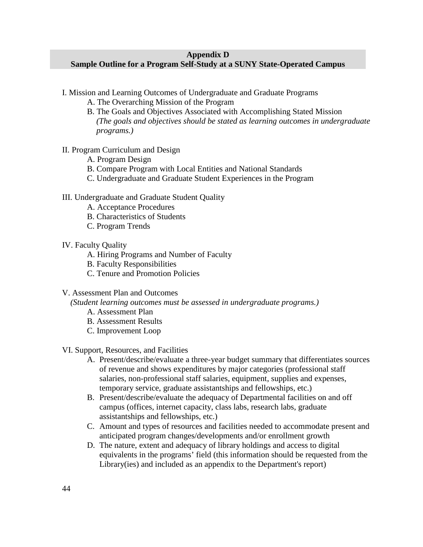## <span id="page-44-0"></span>**Appendix D**

## **Sample Outline for a Program Self-Study at a SUNY State-Operated Campus**

- I. Mission and Learning Outcomes of Undergraduate and Graduate Programs
	- A. The Overarching Mission of the Program
	- B. The Goals and Objectives Associated with Accomplishing Stated Mission *(The goals and objectives should be stated as learning outcomes in undergraduate programs.)*

#### II. Program Curriculum and Design

- A. Program Design
- B. Compare Program with Local Entities and National Standards
- C. Undergraduate and Graduate Student Experiences in the Program

#### III. Undergraduate and Graduate Student Quality

- A. Acceptance Procedures
- B. Characteristics of Students
- C. Program Trends

#### IV. Faculty Quality

- A. Hiring Programs and Number of Faculty
- B. Faculty Responsibilities
- C. Tenure and Promotion Policies

## V. Assessment Plan and Outcomes

 *(Student learning outcomes must be assessed in undergraduate programs.)*

- A. Assessment Plan
- B. Assessment Results
- C. Improvement Loop

#### VI. Support, Resources, and Facilities

- A. Present/describe/evaluate a three-year budget summary that differentiates sources of revenue and shows expenditures by major categories (professional staff salaries, non-professional staff salaries, equipment, supplies and expenses, temporary service, graduate assistantships and fellowships, etc.)
- B. Present/describe/evaluate the adequacy of Departmental facilities on and off campus (offices, internet capacity, class labs, research labs, graduate assistantships and fellowships, etc.)
- C. Amount and types of resources and facilities needed to accommodate present and anticipated program changes/developments and/or enrollment growth
- D. The nature, extent and adequacy of library holdings and access to digital equivalents in the programs' field (this information should be requested from the Library(ies) and included as an appendix to the Department's report)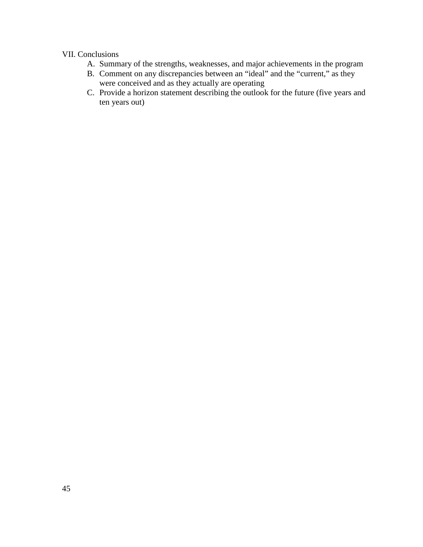## VII. Conclusions

- A. Summary of the strengths, weaknesses, and major achievements in the program
- B. Comment on any discrepancies between an "ideal" and the "current," as they were conceived and as they actually are operating
- C. Provide a horizon statement describing the outlook for the future (five years and ten years out)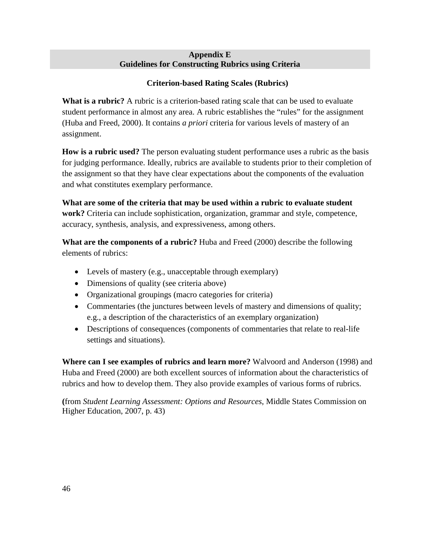## **Appendix E Guidelines for Constructing Rubrics using Criteria**

# <span id="page-46-0"></span>**Criterion-based Rating Scales (Rubrics)**

**What is a rubric?** A rubric is a criterion-based rating scale that can be used to evaluate student performance in almost any area. A rubric establishes the "rules" for the assignment (Huba and Freed, 2000). It contains *a priori* criteria for various levels of mastery of an assignment.

**How is a rubric used?** The person evaluating student performance uses a rubric as the basis for judging performance. Ideally, rubrics are available to students prior to their completion of the assignment so that they have clear expectations about the components of the evaluation and what constitutes exemplary performance.

**What are some of the criteria that may be used within a rubric to evaluate student work?** Criteria can include sophistication, organization, grammar and style, competence, accuracy, synthesis, analysis, and expressiveness, among others.

**What are the components of a rubric?** Huba and Freed (2000) describe the following elements of rubrics:

- Levels of mastery (e.g., unacceptable through exemplary)
- Dimensions of quality (see criteria above)
- Organizational groupings (macro categories for criteria)
- Commentaries (the junctures between levels of mastery and dimensions of quality; e.g., a description of the characteristics of an exemplary organization)
- Descriptions of consequences (components of commentaries that relate to real-life settings and situations).

**Where can I see examples of rubrics and learn more?** Walvoord and Anderson (1998) and Huba and Freed (2000) are both excellent sources of information about the characteristics of rubrics and how to develop them. They also provide examples of various forms of rubrics.

**(**from *Student Learning Assessment: Options and Resources*, Middle States Commission on Higher Education, 2007, p. 43)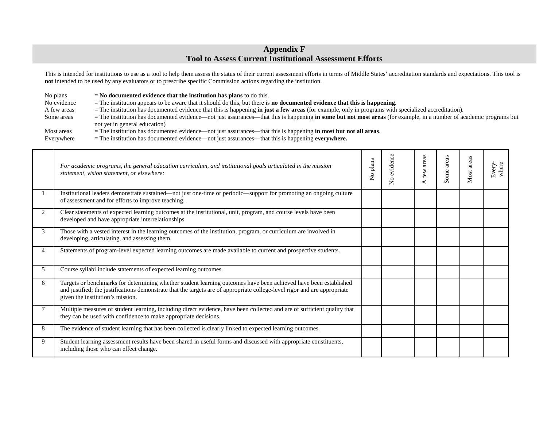## <span id="page-47-0"></span>**Appendix F Tool to Assess Current Institutional Assessment Efforts**

This is intended for institutions to use as a tool to help them assess the status of their current assessment efforts in terms of Middle States' accreditation standards and expectations. This tool is **not** intended to be used by any evaluators or to prescribe specific Commission actions regarding the institution.

No plans = **No documented evidence that the institution has plans** to do this.<br>No evidence = The institution appears to be aware that it should do this, but there is

No evidence = The institution appears to be aware that it should do this, but there is **no documented evidence that this is happening**.<br>A few areas = The institution has documented evidence that this is happening **in just** 

- 
- 
- 
- = The institution has documented evidence that this is happening **in just a few areas** (for example, only in programs with specialized accreditation).
- Some areas = The institution has documented evidence—not just assurances—that this is happening **in some but not most areas** (for example, in a number of academic programs but not yet in general education)
- Most areas = The institution has documented evidence—not just assurances—that this is happening **in most but not all areas**.<br>Everywhere = The institution has documented evidence—not just assurances—that this is happening
	- $=$  The institution has documented evidence—not just assurances—that this is happening **everywhere.**

|                | For academic programs, the general education curriculum, and institutional goals articulated in the mission<br>statement, vision statement, or elsewhere:                                                                                                                         | No plans | evidence<br>$\tilde{z}$ | areas<br>few | areas<br>Some | Most areas | Every-<br>where |
|----------------|-----------------------------------------------------------------------------------------------------------------------------------------------------------------------------------------------------------------------------------------------------------------------------------|----------|-------------------------|--------------|---------------|------------|-----------------|
|                | Institutional leaders demonstrate sustained—not just one-time or periodic—support for promoting an ongoing culture<br>of assessment and for efforts to improve teaching.                                                                                                          |          |                         |              |               |            |                 |
| $\overline{2}$ | Clear statements of expected learning outcomes at the institutional, unit, program, and course levels have been<br>developed and have appropriate interrelationships.                                                                                                             |          |                         |              |               |            |                 |
| 3              | Those with a vested interest in the learning outcomes of the institution, program, or curriculum are involved in<br>developing, articulating, and assessing them.                                                                                                                 |          |                         |              |               |            |                 |
| 4              | Statements of program-level expected learning outcomes are made available to current and prospective students.                                                                                                                                                                    |          |                         |              |               |            |                 |
| 5              | Course syllabi include statements of expected learning outcomes.                                                                                                                                                                                                                  |          |                         |              |               |            |                 |
| 6              | Targets or benchmarks for determining whether student learning outcomes have been achieved have been established<br>and justified; the justifications demonstrate that the targets are of appropriate college-level rigor and are appropriate<br>given the institution's mission. |          |                         |              |               |            |                 |
|                | Multiple measures of student learning, including direct evidence, have been collected and are of sufficient quality that<br>they can be used with confidence to make appropriate decisions.                                                                                       |          |                         |              |               |            |                 |
| 8              | The evidence of student learning that has been collected is clearly linked to expected learning outcomes.                                                                                                                                                                         |          |                         |              |               |            |                 |
| 9              | Student learning assessment results have been shared in useful forms and discussed with appropriate constituents,<br>including those who can effect change.                                                                                                                       |          |                         |              |               |            |                 |